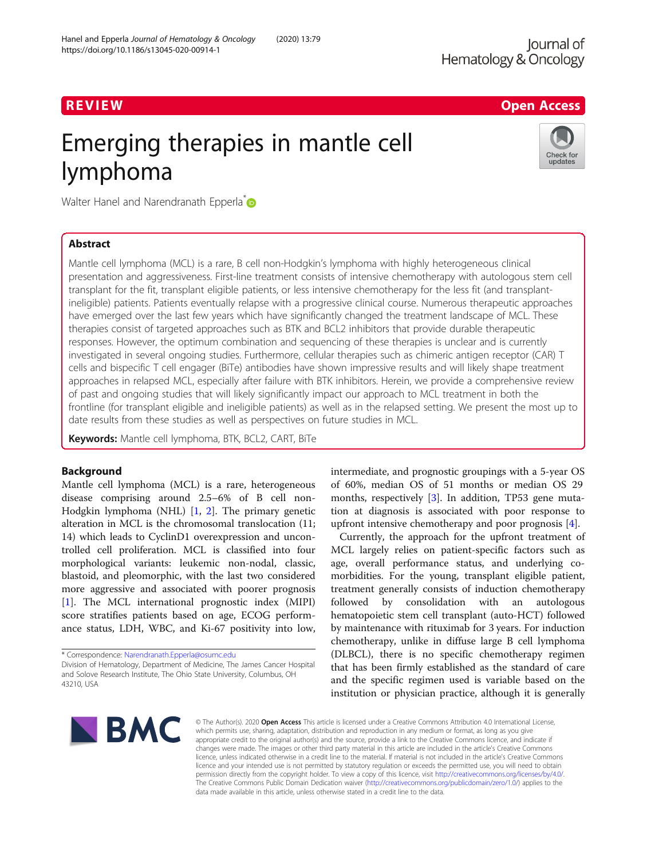# R EVI EW Open Access

# Emerging therapies in mantle cell lymphoma



Walter Hanel and Narendranath Epperla<sup>\*</sup>

# Abstract

Mantle cell lymphoma (MCL) is a rare, B cell non-Hodgkin's lymphoma with highly heterogeneous clinical presentation and aggressiveness. First-line treatment consists of intensive chemotherapy with autologous stem cell transplant for the fit, transplant eligible patients, or less intensive chemotherapy for the less fit (and transplantineligible) patients. Patients eventually relapse with a progressive clinical course. Numerous therapeutic approaches have emerged over the last few years which have significantly changed the treatment landscape of MCL. These therapies consist of targeted approaches such as BTK and BCL2 inhibitors that provide durable therapeutic responses. However, the optimum combination and sequencing of these therapies is unclear and is currently investigated in several ongoing studies. Furthermore, cellular therapies such as chimeric antigen receptor (CAR) T cells and bispecific T cell engager (BiTe) antibodies have shown impressive results and will likely shape treatment approaches in relapsed MCL, especially after failure with BTK inhibitors. Herein, we provide a comprehensive review of past and ongoing studies that will likely significantly impact our approach to MCL treatment in both the frontline (for transplant eligible and ineligible patients) as well as in the relapsed setting. We present the most up to date results from these studies as well as perspectives on future studies in MCL.

Keywords: Mantle cell lymphoma, BTK, BCL2, CART, BiTe

# Background

Mantle cell lymphoma (MCL) is a rare, heterogeneous disease comprising around 2.5–6% of B cell non-Hodgkin lymphoma (NHL) [[1](#page-14-0), [2\]](#page-14-0). The primary genetic alteration in MCL is the chromosomal translocation (11; 14) which leads to CyclinD1 overexpression and uncontrolled cell proliferation. MCL is classified into four morphological variants: leukemic non-nodal, classic, blastoid, and pleomorphic, with the last two considered more aggressive and associated with poorer prognosis [[1\]](#page-14-0). The MCL international prognostic index (MIPI) score stratifies patients based on age, ECOG performance status, LDH, WBC, and Ki-67 positivity into low,

\* Correspondence: [Narendranath.Epperla@osumc.edu](mailto:Narendranath.Epperla@osumc.edu)

Division of Hematology, Department of Medicine, The James Cancer Hospital and Solove Research Institute, The Ohio State University, Columbus, OH 43210, USA

intermediate, and prognostic groupings with a 5-year OS of 60%, median OS of 51 months or median OS 29 months, respectively [\[3\]](#page-14-0). In addition, TP53 gene mutation at diagnosis is associated with poor response to upfront intensive chemotherapy and poor prognosis [[4\]](#page-14-0).

Currently, the approach for the upfront treatment of MCL largely relies on patient-specific factors such as age, overall performance status, and underlying comorbidities. For the young, transplant eligible patient, treatment generally consists of induction chemotherapy followed by consolidation with an autologous hematopoietic stem cell transplant (auto-HCT) followed by maintenance with rituximab for 3 years. For induction chemotherapy, unlike in diffuse large B cell lymphoma (DLBCL), there is no specific chemotherapy regimen that has been firmly established as the standard of care and the specific regimen used is variable based on the institution or physician practice, although it is generally



© The Author(s), 2020 **Open Access** This article is licensed under a Creative Commons Attribution 4.0 International License, which permits use, sharing, adaptation, distribution and reproduction in any medium or format, as long as you give appropriate credit to the original author(s) and the source, provide a link to the Creative Commons licence, and indicate if changes were made. The images or other third party material in this article are included in the article's Creative Commons licence, unless indicated otherwise in a credit line to the material. If material is not included in the article's Creative Commons licence and your intended use is not permitted by statutory regulation or exceeds the permitted use, you will need to obtain permission directly from the copyright holder. To view a copy of this licence, visit [http://creativecommons.org/licenses/by/4.0/.](http://creativecommons.org/licenses/by/4.0/) The Creative Commons Public Domain Dedication waiver [\(http://creativecommons.org/publicdomain/zero/1.0/](http://creativecommons.org/publicdomain/zero/1.0/)) applies to the data made available in this article, unless otherwise stated in a credit line to the data.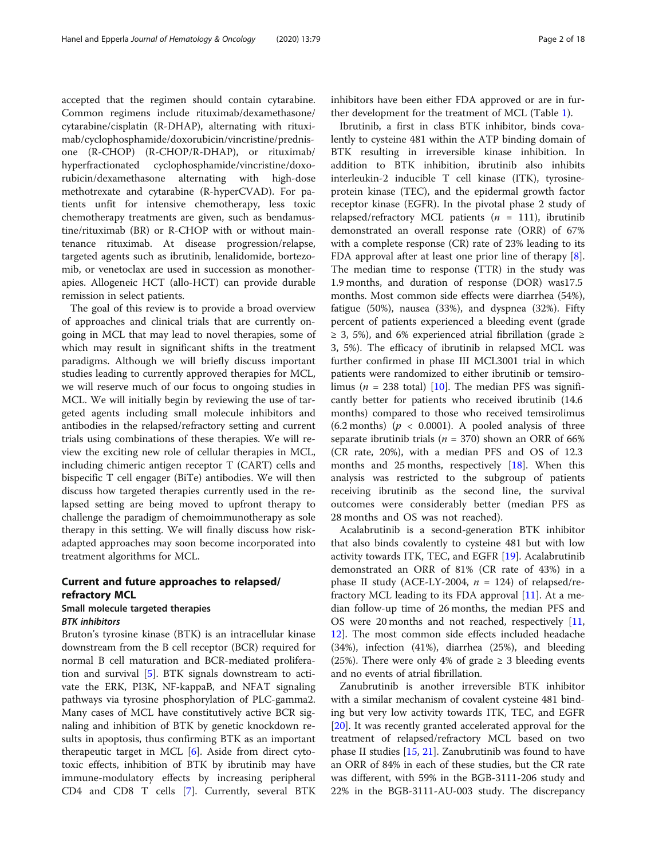accepted that the regimen should contain cytarabine. Common regimens include rituximab/dexamethasone/ cytarabine/cisplatin (R-DHAP), alternating with rituximab/cyclophosphamide/doxorubicin/vincristine/prednisone (R-CHOP) (R-CHOP/R-DHAP), or rituximab/ hyperfractionated cyclophosphamide/vincristine/doxorubicin/dexamethasone alternating with high-dose methotrexate and cytarabine (R-hyperCVAD). For patients unfit for intensive chemotherapy, less toxic chemotherapy treatments are given, such as bendamustine/rituximab (BR) or R-CHOP with or without maintenance rituximab. At disease progression/relapse, targeted agents such as ibrutinib, lenalidomide, bortezomib, or venetoclax are used in succession as monotherapies. Allogeneic HCT (allo-HCT) can provide durable remission in select patients.

The goal of this review is to provide a broad overview of approaches and clinical trials that are currently ongoing in MCL that may lead to novel therapies, some of which may result in significant shifts in the treatment paradigms. Although we will briefly discuss important studies leading to currently approved therapies for MCL, we will reserve much of our focus to ongoing studies in MCL. We will initially begin by reviewing the use of targeted agents including small molecule inhibitors and antibodies in the relapsed/refractory setting and current trials using combinations of these therapies. We will review the exciting new role of cellular therapies in MCL, including chimeric antigen receptor T (CART) cells and bispecific T cell engager (BiTe) antibodies. We will then discuss how targeted therapies currently used in the relapsed setting are being moved to upfront therapy to challenge the paradigm of chemoimmunotherapy as sole therapy in this setting. We will finally discuss how riskadapted approaches may soon become incorporated into treatment algorithms for MCL.

# Current and future approaches to relapsed/ refractory MCL

# Small molecule targeted therapies BTK inhibitors

Bruton's tyrosine kinase (BTK) is an intracellular kinase downstream from the B cell receptor (BCR) required for normal B cell maturation and BCR-mediated proliferation and survival [[5\]](#page-14-0). BTK signals downstream to activate the ERK, PI3K, NF-kappaB, and NFAT signaling pathways via tyrosine phosphorylation of PLC-gamma2. Many cases of MCL have constitutively active BCR signaling and inhibition of BTK by genetic knockdown results in apoptosis, thus confirming BTK as an important therapeutic target in MCL [\[6\]](#page-14-0). Aside from direct cytotoxic effects, inhibition of BTK by ibrutinib may have immune-modulatory effects by increasing peripheral CD4 and CD8 T cells [\[7](#page-14-0)]. Currently, several BTK inhibitors have been either FDA approved or are in further development for the treatment of MCL (Table [1](#page-2-0)).

Ibrutinib, a first in class BTK inhibitor, binds covalently to cysteine 481 within the ATP binding domain of BTK resulting in irreversible kinase inhibition. In addition to BTK inhibition, ibrutinib also inhibits interleukin-2 inducible T cell kinase (ITK), tyrosineprotein kinase (TEC), and the epidermal growth factor receptor kinase (EGFR). In the pivotal phase 2 study of relapsed/refractory MCL patients ( $n = 111$ ), ibrutinib demonstrated an overall response rate (ORR) of 67% with a complete response (CR) rate of 23% leading to its FDA approval after at least one prior line of therapy  $[8]$  $[8]$ . The median time to response (TTR) in the study was 1.9 months, and duration of response (DOR) was17.5 months. Most common side effects were diarrhea (54%), fatigue (50%), nausea (33%), and dyspnea (32%). Fifty percent of patients experienced a bleeding event (grade  $\geq$  3, 5%), and 6% experienced atrial fibrillation (grade  $\geq$ 3, 5%). The efficacy of ibrutinib in relapsed MCL was further confirmed in phase III MCL3001 trial in which patients were randomized to either ibrutinib or temsirolimus ( $n = 238$  total) [[10](#page-15-0)]. The median PFS was significantly better for patients who received ibrutinib (14.6 months) compared to those who received temsirolimus (6.2 months) ( $p < 0.0001$ ). A pooled analysis of three separate ibrutinib trials ( $n = 370$ ) shown an ORR of 66% (CR rate, 20%), with a median PFS and OS of 12.3 months and 25 months, respectively [\[18\]](#page-15-0). When this analysis was restricted to the subgroup of patients receiving ibrutinib as the second line, the survival outcomes were considerably better (median PFS as 28 months and OS was not reached).

Acalabrutinib is a second-generation BTK inhibitor that also binds covalently to cysteine 481 but with low activity towards ITK, TEC, and EGFR [[19\]](#page-15-0). Acalabrutinib demonstrated an ORR of 81% (CR rate of 43%) in a phase II study (ACE-LY-2004,  $n = 124$ ) of relapsed/refractory MCL leading to its FDA approval  $[11]$  $[11]$  $[11]$ . At a median follow-up time of 26 months, the median PFS and OS were 20 months and not reached, respectively [[11](#page-15-0), [12\]](#page-15-0). The most common side effects included headache (34%), infection (41%), diarrhea (25%), and bleeding (25%). There were only 4% of grade  $\geq$  3 bleeding events and no events of atrial fibrillation.

Zanubrutinib is another irreversible BTK inhibitor with a similar mechanism of covalent cysteine 481 binding but very low activity towards ITK, TEC, and EGFR [[20\]](#page-15-0). It was recently granted accelerated approval for the treatment of relapsed/refractory MCL based on two phase II studies [\[15](#page-15-0), [21\]](#page-15-0). Zanubrutinib was found to have an ORR of 84% in each of these studies, but the CR rate was different, with 59% in the BGB-3111-206 study and 22% in the BGB-3111-AU-003 study. The discrepancy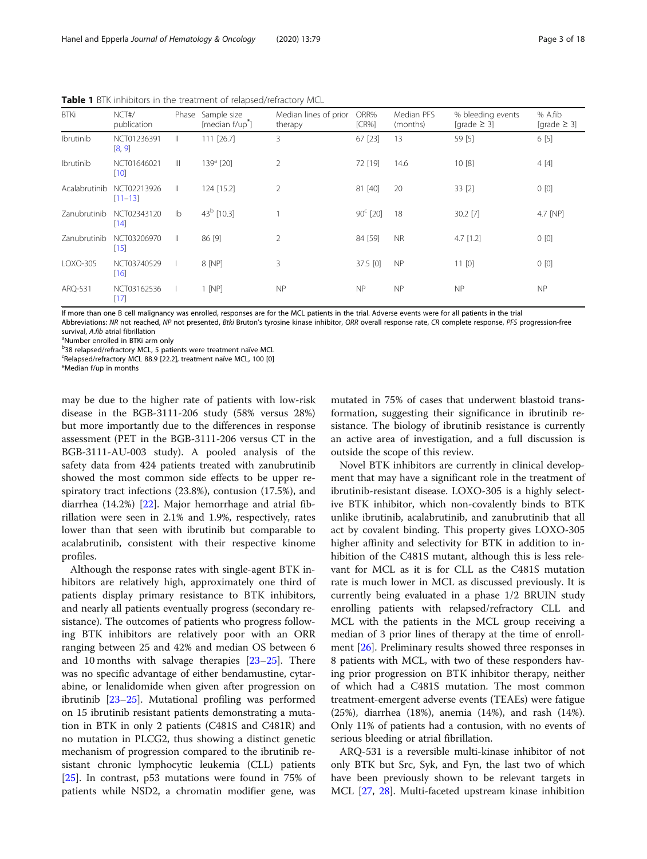| <b>BTKi</b>   | NCT#/<br>publication       | Phase          | Sample size<br>[median f/up <sup>*</sup> ] | Median lines of prior<br>therapy | ORR%<br>ICR%      | Median PFS<br>(months) | % bleeding events<br>[grade $\geq$ 3] | % A.fib<br>$[grade \geq 3]$ |
|---------------|----------------------------|----------------|--------------------------------------------|----------------------------------|-------------------|------------------------|---------------------------------------|-----------------------------|
| Ibrutinib     | NCT01236391<br>[8, 9]      | Ш              | 111 [26.7]                                 | 3                                | 67 [23]           | 13                     | 59 [5]                                | 6 [5]                       |
| Ibrutinib     | NCT01646021<br>$[10]$      | $\mathbb{H}$   | $139a$ [20]                                | $\overline{2}$                   | 72 [19]           | 14.6                   | 10[8]                                 | 4[4]                        |
| Acalabrutinib | NCT02213926<br>$[11 - 13]$ | $\mathbb{I}$   | 124 [15.2]                                 | $\overline{2}$                   | 81 [40]           | 20                     | 33 [2]                                | 0[0]                        |
| Zanubrutinib  | NCT02343120<br>$[14]$      | I <sub>b</sub> | $43^b$ [10.3]                              |                                  | $90^{\circ}$ [20] | 18                     | 30.2 [7]                              | 4.7 [NP]                    |
| Zanubrutinib  | NCT03206970<br>$[15]$      | $\mathbb{I}$   | 86 [9]                                     | $\overline{2}$                   | 84 [59]           | <b>NR</b>              | $4.7$ [1.2]                           | 0[0]                        |
| LOXO-305      | NCT03740529<br>$[16]$      |                | 8 [NP]                                     | 3                                | 37.5 [0]          | <b>NP</b>              | 11[0]                                 | 0[0]                        |
| ARQ-531       | NCT03162536<br>$[17]$      |                | $1$ [NP]                                   | <b>NP</b>                        | <b>NP</b>         | <b>NP</b>              | <b>NP</b>                             | NP                          |

<span id="page-2-0"></span>Table 1 BTK inhibitors in the treatment of relapsed/refractory MCL

If more than one B cell malignancy was enrolled, responses are for the MCL patients in the trial. Adverse events were for all patients in the trial

Abbreviations: NR not reached, NP not presented, Btki Bruton's tyrosine kinase inhibitor, ORR overall response rate, CR complete response, PFS progression-free survival, A.fib atrial fibrillation

<sup>a</sup>Number enrolled in BTKi arm only

<sup>b</sup>38 relapsed/refractory MCL, 5 patients were treatment naïve MCL

<sup>c</sup>Relapsed/refractory MCL 88.9 [22.2], treatment naïve MCL, 100 [0]

\*Median f/up in months

may be due to the higher rate of patients with low-risk disease in the BGB-3111-206 study (58% versus 28%) but more importantly due to the differences in response assessment (PET in the BGB-3111-206 versus CT in the BGB-3111-AU-003 study). A pooled analysis of the safety data from 424 patients treated with zanubrutinib showed the most common side effects to be upper respiratory tract infections (23.8%), contusion (17.5%), and diarrhea (14.2%) [[22](#page-15-0)]. Major hemorrhage and atrial fibrillation were seen in 2.1% and 1.9%, respectively, rates lower than that seen with ibrutinib but comparable to acalabrutinib, consistent with their respective kinome profiles.

Although the response rates with single-agent BTK inhibitors are relatively high, approximately one third of patients display primary resistance to BTK inhibitors, and nearly all patients eventually progress (secondary resistance). The outcomes of patients who progress following BTK inhibitors are relatively poor with an ORR ranging between 25 and 42% and median OS between 6 and 10 months with salvage therapies [[23](#page-15-0)–[25](#page-15-0)]. There was no specific advantage of either bendamustine, cytarabine, or lenalidomide when given after progression on ibrutinib [[23](#page-15-0)–[25](#page-15-0)]. Mutational profiling was performed on 15 ibrutinib resistant patients demonstrating a mutation in BTK in only 2 patients (C481S and C481R) and no mutation in PLCG2, thus showing a distinct genetic mechanism of progression compared to the ibrutinib resistant chronic lymphocytic leukemia (CLL) patients [[25\]](#page-15-0). In contrast, p53 mutations were found in 75% of patients while NSD2, a chromatin modifier gene, was

mutated in 75% of cases that underwent blastoid transformation, suggesting their significance in ibrutinib resistance. The biology of ibrutinib resistance is currently an active area of investigation, and a full discussion is outside the scope of this review.

Novel BTK inhibitors are currently in clinical development that may have a significant role in the treatment of ibrutinib-resistant disease. LOXO-305 is a highly selective BTK inhibitor, which non-covalently binds to BTK unlike ibrutinib, acalabrutinib, and zanubrutinib that all act by covalent binding. This property gives LOXO-305 higher affinity and selectivity for BTK in addition to inhibition of the C481S mutant, although this is less relevant for MCL as it is for CLL as the C481S mutation rate is much lower in MCL as discussed previously. It is currently being evaluated in a phase 1/2 BRUIN study enrolling patients with relapsed/refractory CLL and MCL with the patients in the MCL group receiving a median of 3 prior lines of therapy at the time of enrollment [\[26\]](#page-15-0). Preliminary results showed three responses in 8 patients with MCL, with two of these responders having prior progression on BTK inhibitor therapy, neither of which had a C481S mutation. The most common treatment-emergent adverse events (TEAEs) were fatigue (25%), diarrhea (18%), anemia (14%), and rash (14%). Only 11% of patients had a contusion, with no events of serious bleeding or atrial fibrillation.

ARQ-531 is a reversible multi-kinase inhibitor of not only BTK but Src, Syk, and Fyn, the last two of which have been previously shown to be relevant targets in MCL [\[27,](#page-15-0) [28\]](#page-15-0). Multi-faceted upstream kinase inhibition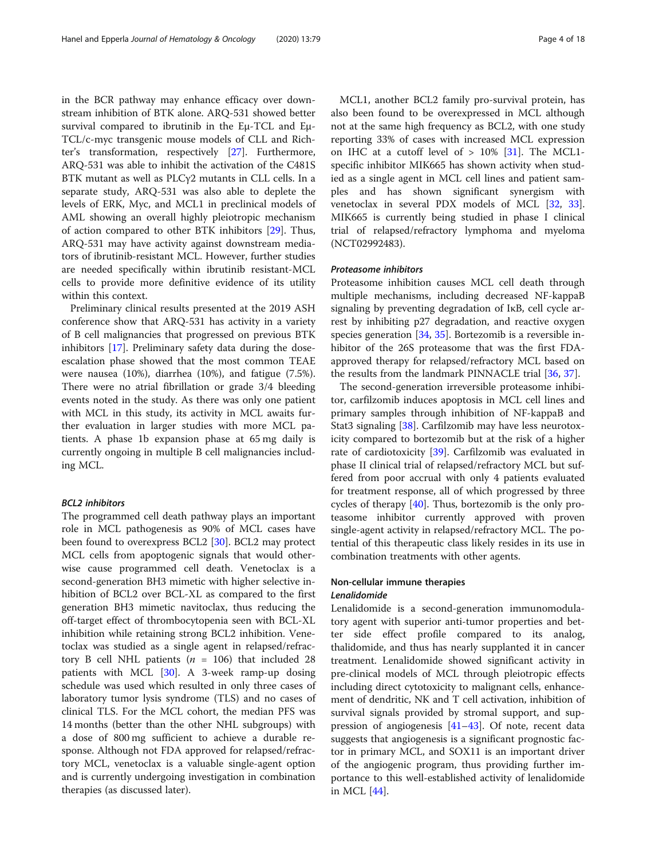in the BCR pathway may enhance efficacy over downstream inhibition of BTK alone. ARQ-531 showed better survival compared to ibrutinib in the Eμ-TCL and Eμ-TCL/c-myc transgenic mouse models of CLL and Richter's transformation, respectively [[27\]](#page-15-0). Furthermore, ARQ-531 was able to inhibit the activation of the C481S BTK mutant as well as PLCγ2 mutants in CLL cells. In a separate study, ARQ-531 was also able to deplete the levels of ERK, Myc, and MCL1 in preclinical models of AML showing an overall highly pleiotropic mechanism of action compared to other BTK inhibitors [\[29](#page-15-0)]. Thus, ARQ-531 may have activity against downstream mediators of ibrutinib-resistant MCL. However, further studies are needed specifically within ibrutinib resistant-MCL cells to provide more definitive evidence of its utility within this context.

Preliminary clinical results presented at the 2019 ASH conference show that ARQ-531 has activity in a variety of B cell malignancies that progressed on previous BTK inhibitors [[17\]](#page-15-0). Preliminary safety data during the doseescalation phase showed that the most common TEAE were nausea (10%), diarrhea (10%), and fatigue (7.5%). There were no atrial fibrillation or grade 3/4 bleeding events noted in the study. As there was only one patient with MCL in this study, its activity in MCL awaits further evaluation in larger studies with more MCL patients. A phase 1b expansion phase at 65 mg daily is currently ongoing in multiple B cell malignancies including MCL.

#### BCL2 inhibitors

The programmed cell death pathway plays an important role in MCL pathogenesis as 90% of MCL cases have been found to overexpress BCL2 [\[30](#page-15-0)]. BCL2 may protect MCL cells from apoptogenic signals that would otherwise cause programmed cell death. Venetoclax is a second-generation BH3 mimetic with higher selective inhibition of BCL2 over BCL-XL as compared to the first generation BH3 mimetic navitoclax, thus reducing the off-target effect of thrombocytopenia seen with BCL-XL inhibition while retaining strong BCL2 inhibition. Venetoclax was studied as a single agent in relapsed/refractory B cell NHL patients ( $n = 106$ ) that included 28 patients with MCL [[30\]](#page-15-0). A 3-week ramp-up dosing schedule was used which resulted in only three cases of laboratory tumor lysis syndrome (TLS) and no cases of clinical TLS. For the MCL cohort, the median PFS was 14 months (better than the other NHL subgroups) with a dose of 800 mg sufficient to achieve a durable response. Although not FDA approved for relapsed/refractory MCL, venetoclax is a valuable single-agent option and is currently undergoing investigation in combination therapies (as discussed later).

MCL1, another BCL2 family pro-survival protein, has also been found to be overexpressed in MCL although not at the same high frequency as BCL2, with one study reporting 33% of cases with increased MCL expression on IHC at a cutoff level of  $> 10\%$  [[31\]](#page-15-0). The MCL1specific inhibitor MIK665 has shown activity when studied as a single agent in MCL cell lines and patient samples and has shown significant synergism with venetoclax in several PDX models of MCL [[32](#page-15-0), [33](#page-15-0)]. MIK665 is currently being studied in phase I clinical trial of relapsed/refractory lymphoma and myeloma (NCT02992483).

#### Proteasome inhibitors

Proteasome inhibition causes MCL cell death through multiple mechanisms, including decreased NF-kappaB signaling by preventing degradation of IκB, cell cycle arrest by inhibiting p27 degradation, and reactive oxygen species generation  $[34, 35]$  $[34, 35]$  $[34, 35]$  $[34, 35]$ . Bortezomib is a reversible inhibitor of the 26S proteasome that was the first FDAapproved therapy for relapsed/refractory MCL based on the results from the landmark PINNACLE trial [\[36](#page-15-0), [37](#page-15-0)].

The second-generation irreversible proteasome inhibitor, carfilzomib induces apoptosis in MCL cell lines and primary samples through inhibition of NF-kappaB and Stat3 signaling [\[38](#page-15-0)]. Carfilzomib may have less neurotoxicity compared to bortezomib but at the risk of a higher rate of cardiotoxicity [[39](#page-15-0)]. Carfilzomib was evaluated in phase II clinical trial of relapsed/refractory MCL but suffered from poor accrual with only 4 patients evaluated for treatment response, all of which progressed by three cycles of therapy [[40\]](#page-15-0). Thus, bortezomib is the only proteasome inhibitor currently approved with proven single-agent activity in relapsed/refractory MCL. The potential of this therapeutic class likely resides in its use in combination treatments with other agents.

# Non-cellular immune therapies Lenalidomide

Lenalidomide is a second-generation immunomodulatory agent with superior anti-tumor properties and better side effect profile compared to its analog, thalidomide, and thus has nearly supplanted it in cancer treatment. Lenalidomide showed significant activity in pre-clinical models of MCL through pleiotropic effects including direct cytotoxicity to malignant cells, enhancement of dendritic, NK and T cell activation, inhibition of survival signals provided by stromal support, and suppression of angiogenesis [\[41](#page-15-0)–[43\]](#page-15-0). Of note, recent data suggests that angiogenesis is a significant prognostic factor in primary MCL, and SOX11 is an important driver of the angiogenic program, thus providing further importance to this well-established activity of lenalidomide in MCL [\[44\]](#page-15-0).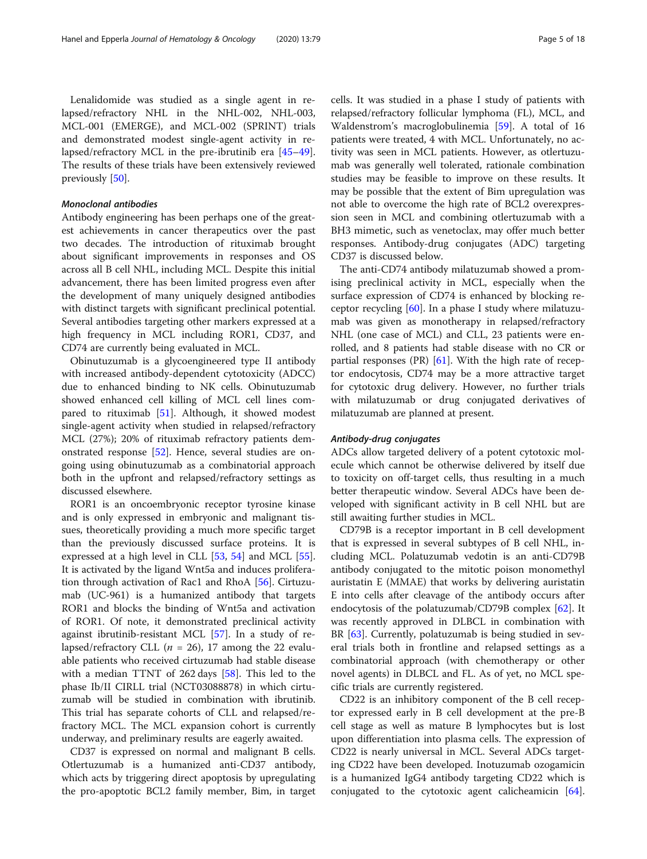Lenalidomide was studied as a single agent in relapsed/refractory NHL in the NHL-002, NHL-003, MCL-001 (EMERGE), and MCL-002 (SPRINT) trials and demonstrated modest single-agent activity in relapsed/refractory MCL in the pre-ibrutinib era [[45](#page-15-0)–[49](#page-16-0)]. The results of these trials have been extensively reviewed previously [\[50](#page-16-0)].

#### Monoclonal antibodies

Antibody engineering has been perhaps one of the greatest achievements in cancer therapeutics over the past two decades. The introduction of rituximab brought about significant improvements in responses and OS across all B cell NHL, including MCL. Despite this initial advancement, there has been limited progress even after the development of many uniquely designed antibodies with distinct targets with significant preclinical potential. Several antibodies targeting other markers expressed at a high frequency in MCL including ROR1, CD37, and CD74 are currently being evaluated in MCL.

Obinutuzumab is a glycoengineered type II antibody with increased antibody-dependent cytotoxicity (ADCC) due to enhanced binding to NK cells. Obinutuzumab showed enhanced cell killing of MCL cell lines compared to rituximab [[51\]](#page-16-0). Although, it showed modest single-agent activity when studied in relapsed/refractory MCL (27%); 20% of rituximab refractory patients demonstrated response [[52\]](#page-16-0). Hence, several studies are ongoing using obinutuzumab as a combinatorial approach both in the upfront and relapsed/refractory settings as discussed elsewhere.

ROR1 is an oncoembryonic receptor tyrosine kinase and is only expressed in embryonic and malignant tissues, theoretically providing a much more specific target than the previously discussed surface proteins. It is expressed at a high level in CLL [\[53](#page-16-0), [54\]](#page-16-0) and MCL [\[55](#page-16-0)]. It is activated by the ligand Wnt5a and induces proliferation through activation of Rac1 and RhoA [[56](#page-16-0)]. Cirtuzumab (UC-961) is a humanized antibody that targets ROR1 and blocks the binding of Wnt5a and activation of ROR1. Of note, it demonstrated preclinical activity against ibrutinib-resistant MCL [\[57\]](#page-16-0). In a study of relapsed/refractory CLL ( $n = 26$ ), 17 among the 22 evaluable patients who received cirtuzumab had stable disease with a median TTNT of 262 days [\[58\]](#page-16-0). This led to the phase Ib/II CIRLL trial (NCT03088878) in which cirtuzumab will be studied in combination with ibrutinib. This trial has separate cohorts of CLL and relapsed/refractory MCL. The MCL expansion cohort is currently underway, and preliminary results are eagerly awaited.

CD37 is expressed on normal and malignant B cells. Otlertuzumab is a humanized anti-CD37 antibody, which acts by triggering direct apoptosis by upregulating the pro-apoptotic BCL2 family member, Bim, in target

cells. It was studied in a phase I study of patients with relapsed/refractory follicular lymphoma (FL), MCL, and Waldenstrom's macroglobulinemia [[59\]](#page-16-0). A total of 16 patients were treated, 4 with MCL. Unfortunately, no activity was seen in MCL patients. However, as otlertuzumab was generally well tolerated, rationale combination studies may be feasible to improve on these results. It may be possible that the extent of Bim upregulation was not able to overcome the high rate of BCL2 overexpression seen in MCL and combining otlertuzumab with a BH3 mimetic, such as venetoclax, may offer much better responses. Antibody-drug conjugates (ADC) targeting CD37 is discussed below.

The anti-CD74 antibody milatuzumab showed a promising preclinical activity in MCL, especially when the surface expression of CD74 is enhanced by blocking receptor recycling [[60](#page-16-0)]. In a phase I study where milatuzumab was given as monotherapy in relapsed/refractory NHL (one case of MCL) and CLL, 23 patients were enrolled, and 8 patients had stable disease with no CR or partial responses (PR)  $[61]$  $[61]$ . With the high rate of receptor endocytosis, CD74 may be a more attractive target for cytotoxic drug delivery. However, no further trials with milatuzumab or drug conjugated derivatives of milatuzumab are planned at present.

#### Antibody-drug conjugates

ADCs allow targeted delivery of a potent cytotoxic molecule which cannot be otherwise delivered by itself due to toxicity on off-target cells, thus resulting in a much better therapeutic window. Several ADCs have been developed with significant activity in B cell NHL but are still awaiting further studies in MCL.

CD79B is a receptor important in B cell development that is expressed in several subtypes of B cell NHL, including MCL. Polatuzumab vedotin is an anti-CD79B antibody conjugated to the mitotic poison monomethyl auristatin E (MMAE) that works by delivering auristatin E into cells after cleavage of the antibody occurs after endocytosis of the polatuzumab/CD79B complex [[62](#page-16-0)]. It was recently approved in DLBCL in combination with BR [\[63\]](#page-16-0). Currently, polatuzumab is being studied in several trials both in frontline and relapsed settings as a combinatorial approach (with chemotherapy or other novel agents) in DLBCL and FL. As of yet, no MCL specific trials are currently registered.

CD22 is an inhibitory component of the B cell receptor expressed early in B cell development at the pre-B cell stage as well as mature B lymphocytes but is lost upon differentiation into plasma cells. The expression of CD22 is nearly universal in MCL. Several ADCs targeting CD22 have been developed. Inotuzumab ozogamicin is a humanized IgG4 antibody targeting CD22 which is conjugated to the cytotoxic agent calicheamicin [\[64](#page-16-0)].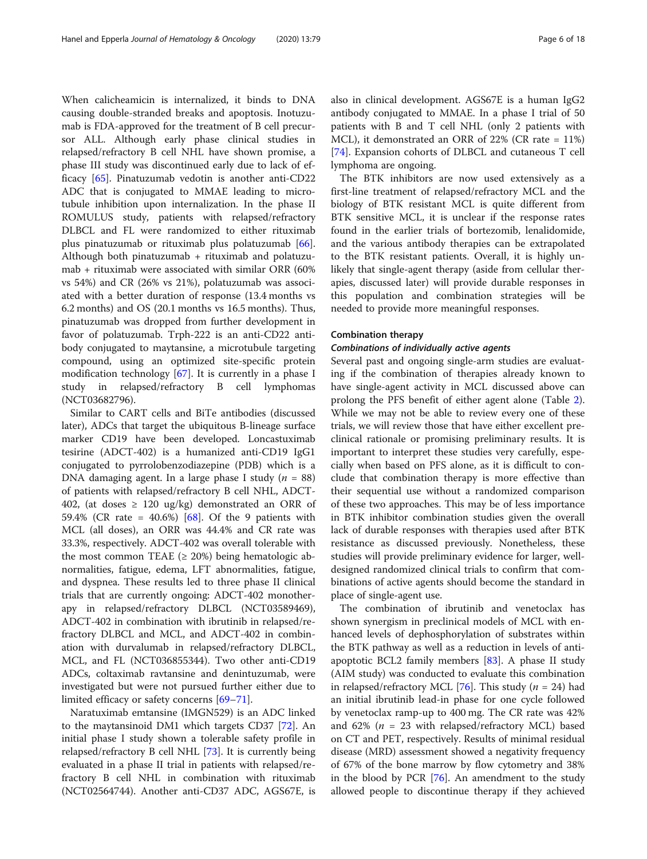When calicheamicin is internalized, it binds to DNA causing double-stranded breaks and apoptosis. Inotuzumab is FDA-approved for the treatment of B cell precursor ALL. Although early phase clinical studies in relapsed/refractory B cell NHL have shown promise, a phase III study was discontinued early due to lack of efficacy [[65](#page-16-0)]. Pinatuzumab vedotin is another anti-CD22 ADC that is conjugated to MMAE leading to microtubule inhibition upon internalization. In the phase II ROMULUS study, patients with relapsed/refractory DLBCL and FL were randomized to either rituximab plus pinatuzumab or rituximab plus polatuzumab [\[66](#page-16-0)]. Although both pinatuzumab  $+$  rituximab and polatuzumab + rituximab were associated with similar ORR (60% vs 54%) and CR (26% vs 21%), polatuzumab was associated with a better duration of response (13.4 months vs 6.2 months) and OS (20.1 months vs 16.5 months). Thus, pinatuzumab was dropped from further development in favor of polatuzumab. Trph-222 is an anti-CD22 antibody conjugated to maytansine, a microtubule targeting compound, using an optimized site-specific protein modification technology [[67\]](#page-16-0). It is currently in a phase I study in relapsed/refractory B cell lymphomas (NCT03682796).

Similar to CART cells and BiTe antibodies (discussed later), ADCs that target the ubiquitous B-lineage surface marker CD19 have been developed. Loncastuximab tesirine (ADCT-402) is a humanized anti-CD19 IgG1 conjugated to pyrrolobenzodiazepine (PDB) which is a DNA damaging agent. In a large phase I study ( $n = 88$ ) of patients with relapsed/refractory B cell NHL, ADCT-402, (at doses  $\geq$  120 ug/kg) demonstrated an ORR of 59.4% (CR rate = 40.6%) [\[68](#page-16-0)]. Of the 9 patients with MCL (all doses), an ORR was 44.4% and CR rate was 33.3%, respectively. ADCT-402 was overall tolerable with the most common TEAE  $(≥ 20%)$  being hematologic abnormalities, fatigue, edema, LFT abnormalities, fatigue, and dyspnea. These results led to three phase II clinical trials that are currently ongoing: ADCT-402 monotherapy in relapsed/refractory DLBCL (NCT03589469), ADCT-402 in combination with ibrutinib in relapsed/refractory DLBCL and MCL, and ADCT-402 in combination with durvalumab in relapsed/refractory DLBCL, MCL, and FL (NCT036855344). Two other anti-CD19 ADCs, coltaximab ravtansine and denintuzumab, were investigated but were not pursued further either due to limited efficacy or safety concerns [[69](#page-16-0)–[71](#page-16-0)].

Naratuximab emtansine (IMGN529) is an ADC linked to the maytansinoid DM1 which targets CD37 [\[72](#page-16-0)]. An initial phase I study shown a tolerable safety profile in relapsed/refractory B cell NHL [\[73](#page-16-0)]. It is currently being evaluated in a phase II trial in patients with relapsed/refractory B cell NHL in combination with rituximab (NCT02564744). Another anti-CD37 ADC, AGS67E, is also in clinical development. AGS67E is a human IgG2 antibody conjugated to MMAE. In a phase I trial of 50 patients with B and T cell NHL (only 2 patients with MCL), it demonstrated an ORR of 22% (CR rate = 11%) [[74\]](#page-16-0). Expansion cohorts of DLBCL and cutaneous T cell lymphoma are ongoing.

The BTK inhibitors are now used extensively as a first-line treatment of relapsed/refractory MCL and the biology of BTK resistant MCL is quite different from BTK sensitive MCL, it is unclear if the response rates found in the earlier trials of bortezomib, lenalidomide, and the various antibody therapies can be extrapolated to the BTK resistant patients. Overall, it is highly unlikely that single-agent therapy (aside from cellular therapies, discussed later) will provide durable responses in this population and combination strategies will be needed to provide more meaningful responses.

#### Combination therapy

#### Combinations of individually active agents

Several past and ongoing single-arm studies are evaluating if the combination of therapies already known to have single-agent activity in MCL discussed above can prolong the PFS benefit of either agent alone (Table [2](#page-6-0)). While we may not be able to review every one of these trials, we will review those that have either excellent preclinical rationale or promising preliminary results. It is important to interpret these studies very carefully, especially when based on PFS alone, as it is difficult to conclude that combination therapy is more effective than their sequential use without a randomized comparison of these two approaches. This may be of less importance in BTK inhibitor combination studies given the overall lack of durable responses with therapies used after BTK resistance as discussed previously. Nonetheless, these studies will provide preliminary evidence for larger, welldesigned randomized clinical trials to confirm that combinations of active agents should become the standard in place of single-agent use.

The combination of ibrutinib and venetoclax has shown synergism in preclinical models of MCL with enhanced levels of dephosphorylation of substrates within the BTK pathway as well as a reduction in levels of antiapoptotic BCL2 family members  $[83]$  $[83]$ . A phase II study (AIM study) was conducted to evaluate this combination in relapsed/refractory MCL [\[76\]](#page-16-0). This study ( $n = 24$ ) had an initial ibrutinib lead-in phase for one cycle followed by venetoclax ramp-up to 400 mg. The CR rate was 42% and 62% ( $n = 23$  with relapsed/refractory MCL) based on CT and PET, respectively. Results of minimal residual disease (MRD) assessment showed a negativity frequency of 67% of the bone marrow by flow cytometry and 38% in the blood by PCR [\[76](#page-16-0)]. An amendment to the study allowed people to discontinue therapy if they achieved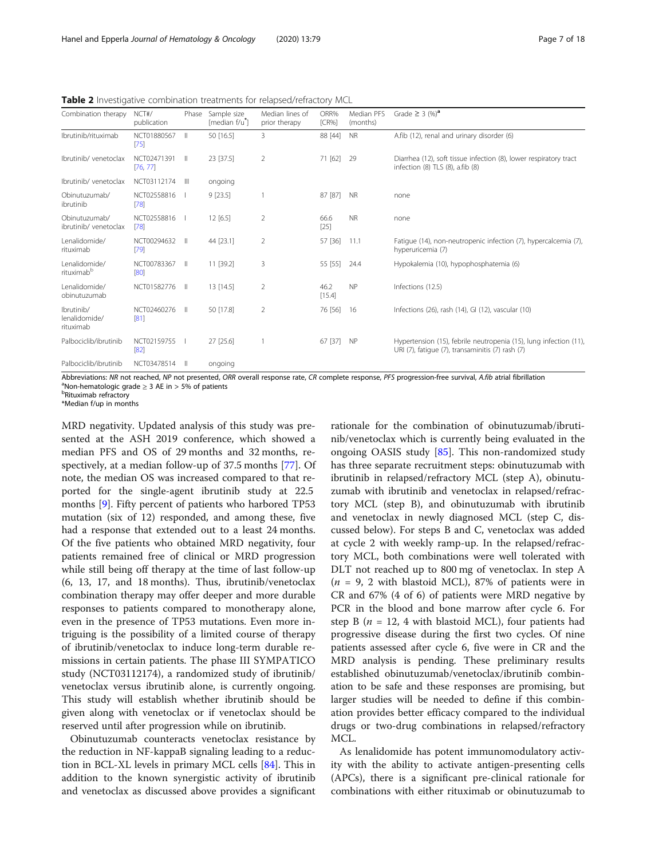<span id="page-6-0"></span>Table 2 Investigative combination treatments for relapsed/refractory MCL

| Combination therapy                      | NCT#/<br>publication    | Phase | Sample size<br>[median f/u <sup>*</sup> ] | Median lines of<br>prior therapy | ORR%<br>$[CR\%]$ | Median PFS<br>(months) | Grade $\geq$ 3 (%) <sup>a</sup>                                                                                       |
|------------------------------------------|-------------------------|-------|-------------------------------------------|----------------------------------|------------------|------------------------|-----------------------------------------------------------------------------------------------------------------------|
| Ibrutinib/rituximab                      | NCT01880567<br>[75]     | Ш     | 50 [16.5]                                 | 3                                | 88 [44]          | <b>NR</b>              | A.fib (12), renal and urinary disorder (6)                                                                            |
| Ibrutinib/venetoclax                     | NCT02471391<br>[76, 77] | Ш     | 23 [37.5]                                 | 2                                | 71 [62]          | 29                     | Diarrhea (12), soft tissue infection (8), lower respiratory tract<br>infection (8) TLS (8), a.fib (8)                 |
| Ibrutinib/venetoclax                     | NCT03112174             | Ш     | ongoing                                   |                                  |                  |                        |                                                                                                                       |
| Obinutuzumab/<br>ibrutinib               | NCT02558816<br>[78]     |       | $9$ [23.5]                                |                                  | 87 [87]          | <b>NR</b>              | none                                                                                                                  |
| Obinutuzumab/<br>ibrutinib/ venetoclax   | NCT02558816<br>[78]     |       | 12[6.5]                                   | 2                                | 66.6<br>$[25]$   | <b>NR</b>              | none                                                                                                                  |
| Lenalidomide/<br>rituximab               | NCT00294632<br>[79]     |       | 44 [23.1]                                 | 2                                | 57 [36]          | 11.1                   | Fatigue (14), non-neutropenic infection (7), hypercalcemia (7),<br>hyperuricemia (7)                                  |
| Lenalidomide/<br>rituximab <sup>b</sup>  | NCT00783367<br>[80]     | Ш     | 11 [39.2]                                 | 3                                | 55 [55]          | 24.4                   | Hypokalemia (10), hypophosphatemia (6)                                                                                |
| Lenalidomide/<br>obinutuzumab            | NCT01582776             | Ш     | 13 [14.5]                                 | 2                                | 46.2<br>[15.4]   | <b>NP</b>              | Infections (12.5)                                                                                                     |
| Ibrutinib/<br>lenalidomide/<br>rituximab | NCT02460276<br>[81]     | Ш     | 50 [17.8]                                 | 2                                | 76 [56]          | 16                     | Infections (26), rash (14), GI (12), vascular (10)                                                                    |
| Palbociclib/ibrutinib                    | NCT02159755<br>[82]     |       | 27 [25.6]                                 |                                  | 67 [37]          | <b>NP</b>              | Hypertension (15), febrile neutropenia (15), lung infection (11),<br>URI (7), fatique (7), transaminitis (7) rash (7) |
| Palbociclib/ibrutinib                    | NCT03478514             |       | ongoing                                   |                                  |                  |                        |                                                                                                                       |

Abbreviations: NR not reached, NP not presented, ORR overall response rate, CR complete response, PFS progression-free survival, A.fib atrial fibrillation  $^{\text{a}}$ Non-hematologic grade  $\geq$  3 AE in  $>$  5% of patients

Rituximab refractory

\*Median f/up in months

MRD negativity. Updated analysis of this study was presented at the ASH 2019 conference, which showed a median PFS and OS of 29 months and 32 months, respectively, at a median follow-up of 37.5 months [[77\]](#page-16-0). Of note, the median OS was increased compared to that reported for the single-agent ibrutinib study at 22.5 months [[9\]](#page-15-0). Fifty percent of patients who harbored TP53 mutation (six of 12) responded, and among these, five had a response that extended out to a least 24 months. Of the five patients who obtained MRD negativity, four patients remained free of clinical or MRD progression while still being off therapy at the time of last follow-up (6, 13, 17, and 18 months). Thus, ibrutinib/venetoclax combination therapy may offer deeper and more durable responses to patients compared to monotherapy alone, even in the presence of TP53 mutations. Even more intriguing is the possibility of a limited course of therapy of ibrutinib/venetoclax to induce long-term durable remissions in certain patients. The phase III SYMPATICO study (NCT03112174), a randomized study of ibrutinib/ venetoclax versus ibrutinib alone, is currently ongoing. This study will establish whether ibrutinib should be given along with venetoclax or if venetoclax should be reserved until after progression while on ibrutinib.

Obinutuzumab counteracts venetoclax resistance by the reduction in NF-kappaB signaling leading to a reduction in BCL-XL levels in primary MCL cells [\[84](#page-16-0)]. This in addition to the known synergistic activity of ibrutinib and venetoclax as discussed above provides a significant

rationale for the combination of obinutuzumab/ibrutinib/venetoclax which is currently being evaluated in the ongoing OASIS study [\[85\]](#page-16-0). This non-randomized study has three separate recruitment steps: obinutuzumab with ibrutinib in relapsed/refractory MCL (step A), obinutuzumab with ibrutinib and venetoclax in relapsed/refractory MCL (step B), and obinutuzumab with ibrutinib and venetoclax in newly diagnosed MCL (step C, discussed below). For steps B and C, venetoclax was added at cycle 2 with weekly ramp-up. In the relapsed/refractory MCL, both combinations were well tolerated with DLT not reached up to 800 mg of venetoclax. In step A  $(n = 9, 2$  with blastoid MCL), 87% of patients were in CR and 67% (4 of 6) of patients were MRD negative by PCR in the blood and bone marrow after cycle 6. For step B ( $n = 12$ , 4 with blastoid MCL), four patients had progressive disease during the first two cycles. Of nine patients assessed after cycle 6, five were in CR and the MRD analysis is pending. These preliminary results established obinutuzumab/venetoclax/ibrutinib combination to be safe and these responses are promising, but larger studies will be needed to define if this combination provides better efficacy compared to the individual drugs or two-drug combinations in relapsed/refractory MCL.

As lenalidomide has potent immunomodulatory activity with the ability to activate antigen-presenting cells (APCs), there is a significant pre-clinical rationale for combinations with either rituximab or obinutuzumab to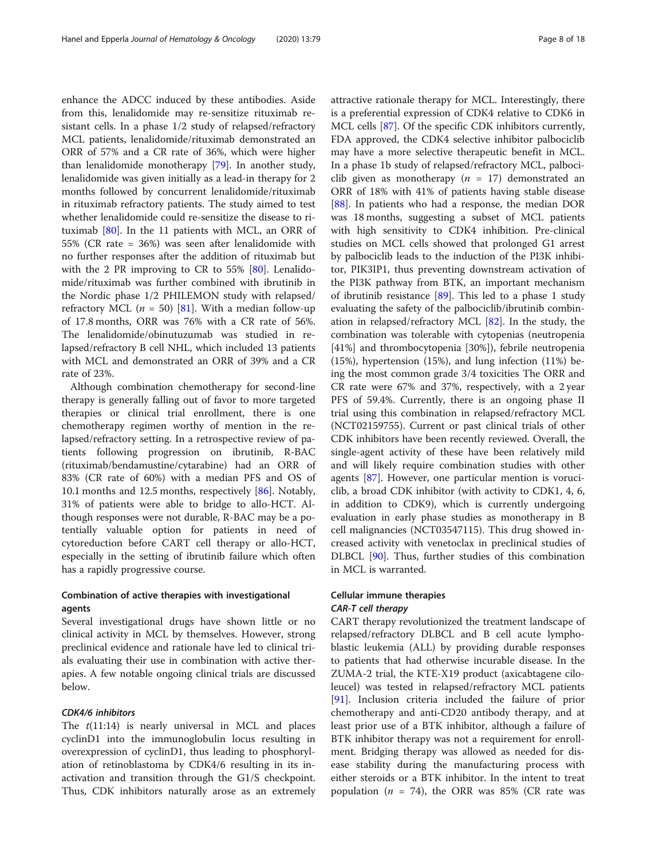enhance the ADCC induced by these antibodies. Aside from this, lenalidomide may re-sensitize rituximab resistant cells. In a phase 1/2 study of relapsed/refractory MCL patients, lenalidomide/rituximab demonstrated an ORR of 57% and a CR rate of 36%, which were higher than lenalidomide monotherapy [\[79\]](#page-16-0). In another study, lenalidomide was given initially as a lead-in therapy for 2 months followed by concurrent lenalidomide/rituximab in rituximab refractory patients. The study aimed to test whether lenalidomide could re-sensitize the disease to rituximab [\[80](#page-16-0)]. In the 11 patients with MCL, an ORR of 55% (CR rate = 36%) was seen after lenalidomide with no further responses after the addition of rituximab but with the 2 PR improving to CR to 55% [\[80](#page-16-0)]. Lenalidomide/rituximab was further combined with ibrutinib in the Nordic phase 1/2 PHILEMON study with relapsed/ refractory MCL ( $n = 50$ ) [\[81](#page-16-0)]. With a median follow-up of 17.8 months, ORR was 76% with a CR rate of 56%. The lenalidomide/obinutuzumab was studied in relapsed/refractory B cell NHL, which included 13 patients with MCL and demonstrated an ORR of 39% and a CR rate of 23%.

Although combination chemotherapy for second-line therapy is generally falling out of favor to more targeted therapies or clinical trial enrollment, there is one chemotherapy regimen worthy of mention in the relapsed/refractory setting. In a retrospective review of patients following progression on ibrutinib, R-BAC (rituximab/bendamustine/cytarabine) had an ORR of 83% (CR rate of 60%) with a median PFS and OS of 10.1 months and 12.5 months, respectively [[86](#page-16-0)]. Notably, 31% of patients were able to bridge to allo-HCT. Although responses were not durable, R-BAC may be a potentially valuable option for patients in need of cytoreduction before CART cell therapy or allo-HCT, especially in the setting of ibrutinib failure which often has a rapidly progressive course.

# Combination of active therapies with investigational agents

Several investigational drugs have shown little or no clinical activity in MCL by themselves. However, strong preclinical evidence and rationale have led to clinical trials evaluating their use in combination with active therapies. A few notable ongoing clinical trials are discussed below.

#### CDK4/6 inhibitors

The  $t(11:14)$  is nearly universal in MCL and places cyclinD1 into the immunoglobulin locus resulting in overexpression of cyclinD1, thus leading to phosphorylation of retinoblastoma by CDK4/6 resulting in its inactivation and transition through the G1/S checkpoint. Thus, CDK inhibitors naturally arose as an extremely attractive rationale therapy for MCL. Interestingly, there is a preferential expression of CDK4 relative to CDK6 in MCL cells [[87\]](#page-16-0). Of the specific CDK inhibitors currently, FDA approved, the CDK4 selective inhibitor palbociclib may have a more selective therapeutic benefit in MCL. In a phase 1b study of relapsed/refractory MCL, palbociclib given as monotherapy ( $n = 17$ ) demonstrated an ORR of 18% with 41% of patients having stable disease [[88\]](#page-16-0). In patients who had a response, the median DOR was 18 months, suggesting a subset of MCL patients with high sensitivity to CDK4 inhibition. Pre-clinical studies on MCL cells showed that prolonged G1 arrest by palbociclib leads to the induction of the PI3K inhibitor, PIK3IP1, thus preventing downstream activation of the PI3K pathway from BTK, an important mechanism of ibrutinib resistance [\[89\]](#page-16-0). This led to a phase 1 study evaluating the safety of the palbociclib/ibrutinib combination in relapsed/refractory MCL [[82\]](#page-16-0). In the study, the combination was tolerable with cytopenias (neutropenia [41%] and thrombocytopenia [30%]), febrile neutropenia (15%), hypertension (15%), and lung infection (11%) being the most common grade 3/4 toxicities The ORR and CR rate were 67% and 37%, respectively, with a 2 year PFS of 59.4%. Currently, there is an ongoing phase II trial using this combination in relapsed/refractory MCL (NCT02159755). Current or past clinical trials of other CDK inhibitors have been recently reviewed. Overall, the single-agent activity of these have been relatively mild and will likely require combination studies with other agents [[87](#page-16-0)]. However, one particular mention is voruciclib, a broad CDK inhibitor (with activity to CDK1, 4, 6, in addition to CDK9), which is currently undergoing evaluation in early phase studies as monotherapy in B cell malignancies (NCT03547115). This drug showed increased activity with venetoclax in preclinical studies of DLBCL [[90\]](#page-17-0). Thus, further studies of this combination in MCL is warranted.

# Cellular immune therapies CAR-T cell therapy

CART therapy revolutionized the treatment landscape of relapsed/refractory DLBCL and B cell acute lymphoblastic leukemia (ALL) by providing durable responses to patients that had otherwise incurable disease. In the ZUMA-2 trial, the KTE-X19 product (axicabtagene ciloleucel) was tested in relapsed/refractory MCL patients [[91\]](#page-17-0). Inclusion criteria included the failure of prior chemotherapy and anti-CD20 antibody therapy, and at least prior use of a BTK inhibitor, although a failure of BTK inhibitor therapy was not a requirement for enrollment. Bridging therapy was allowed as needed for disease stability during the manufacturing process with either steroids or a BTK inhibitor. In the intent to treat population ( $n = 74$ ), the ORR was 85% (CR rate was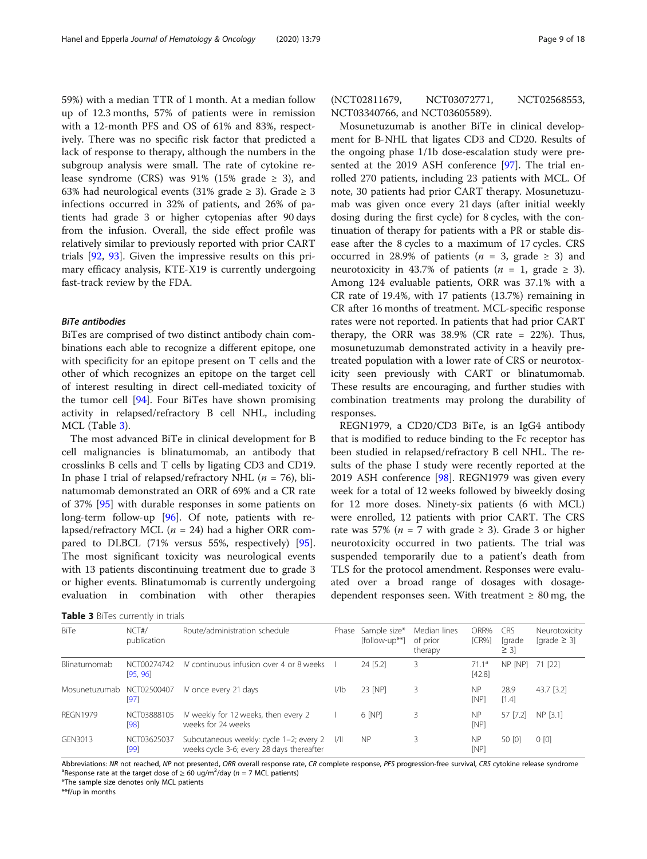59%) with a median TTR of 1 month. At a median follow up of 12.3 months, 57% of patients were in remission with a 12-month PFS and OS of 61% and 83%, respectively. There was no specific risk factor that predicted a lack of response to therapy, although the numbers in the subgroup analysis were small. The rate of cytokine release syndrome (CRS) was 91% (15% grade  $\geq$  3), and 63% had neurological events (31% grade  $\geq$  3). Grade  $\geq$  3 infections occurred in 32% of patients, and 26% of patients had grade 3 or higher cytopenias after 90 days from the infusion. Overall, the side effect profile was relatively similar to previously reported with prior CART trials [[92,](#page-17-0) [93\]](#page-17-0). Given the impressive results on this primary efficacy analysis, KTE-X19 is currently undergoing fast-track review by the FDA.

#### BiTe antibodies

BiTes are comprised of two distinct antibody chain combinations each able to recognize a different epitope, one with specificity for an epitope present on T cells and the other of which recognizes an epitope on the target cell of interest resulting in direct cell-mediated toxicity of the tumor cell [\[94\]](#page-17-0). Four BiTes have shown promising activity in relapsed/refractory B cell NHL, including MCL (Table 3).

The most advanced BiTe in clinical development for B cell malignancies is blinatumomab, an antibody that crosslinks B cells and T cells by ligating CD3 and CD19. In phase I trial of relapsed/refractory NHL ( $n = 76$ ), blinatumomab demonstrated an ORR of 69% and a CR rate of 37% [[95\]](#page-17-0) with durable responses in some patients on long-term follow-up [\[96\]](#page-17-0). Of note, patients with relapsed/refractory MCL ( $n = 24$ ) had a higher ORR compared to DLBCL (71% versus 55%, respectively) [\[95](#page-17-0)]. The most significant toxicity was neurological events with 13 patients discontinuing treatment due to grade 3 or higher events. Blinatumomab is currently undergoing evaluation in combination with other therapies

Table 3 BiTes currently in trials

(NCT02811679, NCT03072771, NCT02568553, NCT03340766, and NCT03605589).

Mosunetuzumab is another BiTe in clinical development for B-NHL that ligates CD3 and CD20. Results of the ongoing phase 1/1b dose-escalation study were presented at the 2019 ASH conference [\[97](#page-17-0)]. The trial enrolled 270 patients, including 23 patients with MCL. Of note, 30 patients had prior CART therapy. Mosunetuzumab was given once every 21 days (after initial weekly dosing during the first cycle) for 8 cycles, with the continuation of therapy for patients with a PR or stable disease after the 8 cycles to a maximum of 17 cycles. CRS occurred in 28.9% of patients ( $n = 3$ , grade  $\geq 3$ ) and neurotoxicity in 43.7% of patients  $(n = 1, \text{ grade } \geq 3)$ . Among 124 evaluable patients, ORR was 37.1% with a CR rate of 19.4%, with 17 patients (13.7%) remaining in CR after 16 months of treatment. MCL-specific response rates were not reported. In patients that had prior CART therapy, the ORR was  $38.9\%$  (CR rate = 22%). Thus, mosunetuzumab demonstrated activity in a heavily pretreated population with a lower rate of CRS or neurotoxicity seen previously with CART or blinatumomab. These results are encouraging, and further studies with combination treatments may prolong the durability of responses.

REGN1979, a CD20/CD3 BiTe, is an IgG4 antibody that is modified to reduce binding to the Fc receptor has been studied in relapsed/refractory B cell NHL. The results of the phase I study were recently reported at the 2019 ASH conference [[98](#page-17-0)]. REGN1979 was given every week for a total of 12 weeks followed by biweekly dosing for 12 more doses. Ninety-six patients (6 with MCL) were enrolled, 12 patients with prior CART. The CRS rate was 57% ( $n = 7$  with grade  $\geq 3$ ). Grade 3 or higher neurotoxicity occurred in two patients. The trial was suspended temporarily due to a patient's death from TLS for the protocol amendment. Responses were evaluated over a broad range of dosages with dosagedependent responses seen. With treatment  $\geq 80$  mg, the

| BiTe                      | NCT#/<br>publication    | Route/administration schedule                                                             | Phase | Sample size*<br>[follow-up**] | Median lines<br>of prior<br>therapy | ORR%<br><b>ICR%1</b>        | <b>CRS</b><br><b>r</b> ade<br>$\geq$ 3] | Neurotoxicity<br>[grade $\geq$ 3] |
|---------------------------|-------------------------|-------------------------------------------------------------------------------------------|-------|-------------------------------|-------------------------------------|-----------------------------|-----------------------------------------|-----------------------------------|
| Blinatumomab              | NCT00274742<br>[95, 96] | IV continuous infusion over 4 or 8 weeks                                                  |       | 24 [5.2]                      |                                     | 71.1 <sup>a</sup><br>[42.8] | NP [NP]                                 | 71 [22]                           |
| Mosunetuzumab NCT02500407 | [97]                    | IV once every 21 days                                                                     | I/Ib  | 23 [NP]                       |                                     | <b>NP</b><br><b>INP1</b>    | 28.9<br>[1.4]                           | 43.7 [3.2]                        |
| <b>REGN1979</b>           | NCT03888105<br>[98]     | IV weekly for 12 weeks, then every 2<br>weeks for 24 weeks                                |       | 6 [NP]                        | 3                                   | <b>NP</b><br>[NP]           | 57 [7.2]                                | NP [3.1]                          |
| GEN3013                   | NCT03625037<br>[99]     | Subcutaneous weekly: cycle 1-2; every 2  /  <br>weeks cycle 3-6; every 28 days thereafter |       | <b>NP</b>                     |                                     | <b>NP</b><br>[NP]           | 50 [0]                                  | 0 <sub>[0]</sub>                  |

Abbreviations: NR not reached, NP not presented, ORR overall response rate, CR complete response, PFS progression-free survival, CRS cytokine release syndrome Response rate at the target dose of  $\geq 60$  ug/m<sup>2</sup>/day (n = 7 MCL patients)<br>The sample size denotes only MCL patients

\*The sample size denotes only MCL patients

\*\*f/up in months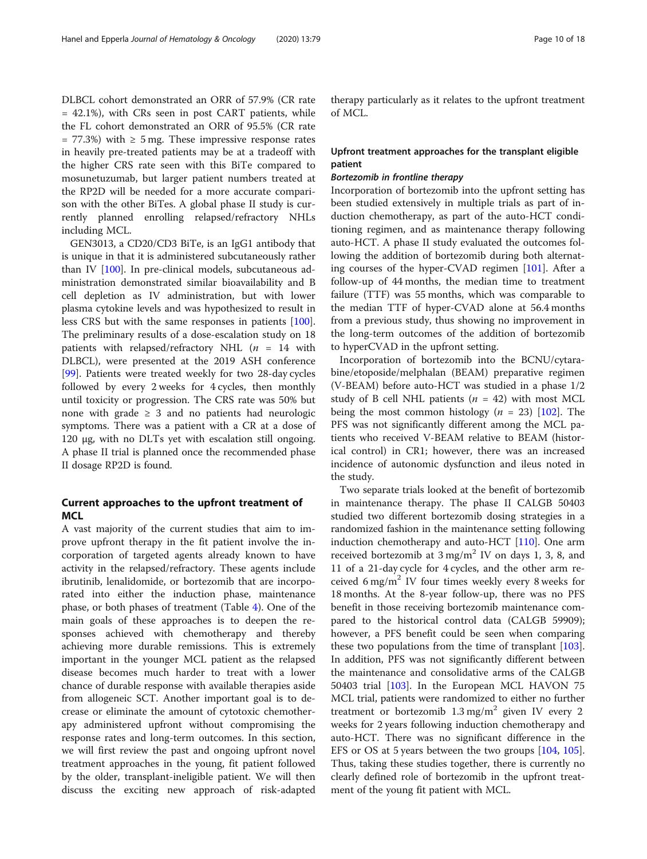DLBCL cohort demonstrated an ORR of 57.9% (CR rate = 42.1%), with CRs seen in post CART patients, while the FL cohort demonstrated an ORR of 95.5% (CR rate  $= 77.3\%$ ) with  $\geq 5$  mg. These impressive response rates in heavily pre-treated patients may be at a tradeoff with the higher CRS rate seen with this BiTe compared to mosunetuzumab, but larger patient numbers treated at the RP2D will be needed for a more accurate comparison with the other BiTes. A global phase II study is currently planned enrolling relapsed/refractory NHLs including MCL.

GEN3013, a CD20/CD3 BiTe, is an IgG1 antibody that is unique in that it is administered subcutaneously rather than IV [\[100\]](#page-17-0). In pre-clinical models, subcutaneous administration demonstrated similar bioavailability and B cell depletion as IV administration, but with lower plasma cytokine levels and was hypothesized to result in less CRS but with the same responses in patients [\[100](#page-17-0)]. The preliminary results of a dose-escalation study on 18 patients with relapsed/refractory NHL  $(n = 14$  with DLBCL), were presented at the 2019 ASH conference [[99\]](#page-17-0). Patients were treated weekly for two 28-day cycles followed by every 2 weeks for 4 cycles, then monthly until toxicity or progression. The CRS rate was 50% but none with grade  $\geq$  3 and no patients had neurologic symptoms. There was a patient with a CR at a dose of 120 μg, with no DLTs yet with escalation still ongoing. A phase II trial is planned once the recommended phase II dosage RP2D is found.

# Current approaches to the upfront treatment of **MCL**

A vast majority of the current studies that aim to improve upfront therapy in the fit patient involve the incorporation of targeted agents already known to have activity in the relapsed/refractory. These agents include ibrutinib, lenalidomide, or bortezomib that are incorporated into either the induction phase, maintenance phase, or both phases of treatment (Table [4](#page-10-0)). One of the main goals of these approaches is to deepen the responses achieved with chemotherapy and thereby achieving more durable remissions. This is extremely important in the younger MCL patient as the relapsed disease becomes much harder to treat with a lower chance of durable response with available therapies aside from allogeneic SCT. Another important goal is to decrease or eliminate the amount of cytotoxic chemotherapy administered upfront without compromising the response rates and long-term outcomes. In this section, we will first review the past and ongoing upfront novel treatment approaches in the young, fit patient followed by the older, transplant-ineligible patient. We will then discuss the exciting new approach of risk-adapted

therapy particularly as it relates to the upfront treatment of MCL.

# Upfront treatment approaches for the transplant eligible patient

#### Bortezomib in frontline therapy

Incorporation of bortezomib into the upfront setting has been studied extensively in multiple trials as part of induction chemotherapy, as part of the auto-HCT conditioning regimen, and as maintenance therapy following auto-HCT. A phase II study evaluated the outcomes following the addition of bortezomib during both alternating courses of the hyper-CVAD regimen [[101](#page-17-0)]. After a follow-up of 44 months, the median time to treatment failure (TTF) was 55 months, which was comparable to the median TTF of hyper-CVAD alone at 56.4 months from a previous study, thus showing no improvement in the long-term outcomes of the addition of bortezomib to hyperCVAD in the upfront setting.

Incorporation of bortezomib into the BCNU/cytarabine/etoposide/melphalan (BEAM) preparative regimen (V-BEAM) before auto-HCT was studied in a phase 1/2 study of B cell NHL patients ( $n = 42$ ) with most MCL being the most common histology ( $n = 23$ ) [[102\]](#page-17-0). The PFS was not significantly different among the MCL patients who received V-BEAM relative to BEAM (historical control) in CR1; however, there was an increased incidence of autonomic dysfunction and ileus noted in the study.

Two separate trials looked at the benefit of bortezomib in maintenance therapy. The phase II CALGB 50403 studied two different bortezomib dosing strategies in a randomized fashion in the maintenance setting following induction chemotherapy and auto-HCT [\[110](#page-17-0)]. One arm received bortezomib at  $3 \text{ mg/m}^2$  IV on days 1, 3, 8, and 11 of a 21-day cycle for 4 cycles, and the other arm received 6 mg/m<sup>2</sup> IV four times weekly every 8 weeks for 18 months. At the 8-year follow-up, there was no PFS benefit in those receiving bortezomib maintenance compared to the historical control data (CALGB 59909); however, a PFS benefit could be seen when comparing these two populations from the time of transplant [[103](#page-17-0)]. In addition, PFS was not significantly different between the maintenance and consolidative arms of the CALGB 50403 trial [\[103\]](#page-17-0). In the European MCL HAVON 75 MCL trial, patients were randomized to either no further treatment or bortezomib  $1.3 \text{ mg/m}^2$  given IV every 2 weeks for 2 years following induction chemotherapy and auto-HCT. There was no significant difference in the EFS or OS at 5 years between the two groups [\[104](#page-17-0), [105](#page-17-0)]. Thus, taking these studies together, there is currently no clearly defined role of bortezomib in the upfront treatment of the young fit patient with MCL.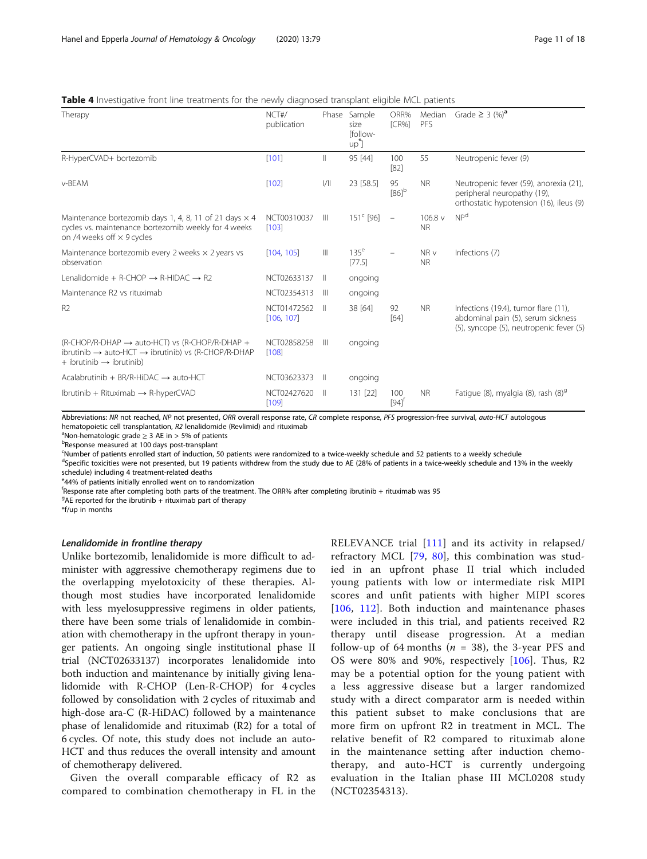<span id="page-10-0"></span>

|  |  |  | <b>Table 4</b> Investigative front line treatments for the newly diagnosed transplant eligible MCL patients |  |
|--|--|--|-------------------------------------------------------------------------------------------------------------|--|
|--|--|--|-------------------------------------------------------------------------------------------------------------|--|

| Therapy                                                                                                                                                                             | NCT#/<br>publication      | Phase        | Sample<br>size<br><b>Ifollow-</b><br>up <sup>"</sup> ] | ORR%<br>ICR%               | Median<br>PFS        | Grade $\geq$ 3 $(\%)^a$                                                                                               |
|-------------------------------------------------------------------------------------------------------------------------------------------------------------------------------------|---------------------------|--------------|--------------------------------------------------------|----------------------------|----------------------|-----------------------------------------------------------------------------------------------------------------------|
| R-HyperCVAD+ bortezomib                                                                                                                                                             | [101]                     | $\parallel$  | 95 [44]                                                | 100<br>[82]                | 55                   | Neutropenic fever (9)                                                                                                 |
| v-BEAM                                                                                                                                                                              | [102]                     | 1/11         | 23 [58.5]                                              | 95<br>$[86]$ <sup>b</sup>  | <b>NR</b>            | Neutropenic fever (59), anorexia (21),<br>peripheral neuropathy (19),<br>orthostatic hypotension (16), ileus (9)      |
| Maintenance bortezomib days 1, 4, 8, 11 of 21 days $\times$ 4<br>cycles vs. maintenance bortezomib weekly for 4 weeks<br>on /4 weeks off $\times$ 9 cycles                          | NCT00310037<br>[103]      | $\mathbb{H}$ | $151^{\circ}$ [96]                                     | $\equiv$                   | 106.8 v<br><b>NR</b> | NP <sup>d</sup>                                                                                                       |
| Maintenance bortezomib every 2 weeks $\times$ 2 years vs<br>observation                                                                                                             | [104, 105]                | $\mathbb{H}$ | 135 <sup>e</sup><br>[77.5]                             |                            | NR v<br><b>NR</b>    | Infections (7)                                                                                                        |
| Lenalidomide + R-CHOP $\rightarrow$ R-HIDAC $\rightarrow$ R2                                                                                                                        | NCT02633137               | H            | ongoing                                                |                            |                      |                                                                                                                       |
| Maintenance R2 vs rituximab                                                                                                                                                         | NCT02354313               | $\mathbb{H}$ | ongoing                                                |                            |                      |                                                                                                                       |
| R <sub>2</sub>                                                                                                                                                                      | NCT01472562<br>[106, 107] | - 11         | 38 [64]                                                | 92<br>[64]                 | <b>NR</b>            | Infections (19.4), tumor flare (11),<br>abdominal pain (5), serum sickness<br>(5), syncope (5), neutropenic fever (5) |
| (R-CHOP/R-DHAP $\rightarrow$ auto-HCT) vs (R-CHOP/R-DHAP +<br>ibrutinib $\rightarrow$ auto-HCT $\rightarrow$ ibrutinib) vs (R-CHOP/R-DHAP<br>$+$ ibrutinib $\rightarrow$ ibrutinib) | NCT02858258<br>[108]      | $\mathbb{H}$ | ongoing                                                |                            |                      |                                                                                                                       |
| Acalabrutinib + BR/R-HiDAC $\rightarrow$ auto-HCT                                                                                                                                   | NCT03623373               | H            | ongoing                                                |                            |                      |                                                                                                                       |
| $Ibrutinib + Rituximab \rightarrow R-hyperCVAD$                                                                                                                                     | NCT02427620<br>[109]      | $\parallel$  | 131 [22]                                               | 100<br>$[94]$ <sup>†</sup> | <b>NR</b>            | Fatique (8), myalgia (8), rash (8) <sup>9</sup>                                                                       |

Abbreviations: NR not reached, NP not presented, ORR overall response rate, CR complete response, PFS progression-free survival, auto-HCT autologous hematopoietic cell transplantation, R2 lenalidomide (Revlimid) and rituximab

 $^{\text{a}}$ Non-hematologic grade  $\geq$  3 AE in > 5% of patients

Response measured at 100 days post-transplant

c Number of patients enrolled start of induction, 50 patients were randomized to a twice-weekly schedule and 52 patients to a weekly schedule

<sup>d</sup>Specific toxicities were not presented, but 19 patients withdrew from the study due to AE (28% of patients in a twice-weekly schedule and 13% in the weekly schedule) including 4 treatment-related deaths

e 44% of patients initially enrolled went on to randomization

f Response rate after completing both parts of the treatment. The ORR% after completing ibrutinib + rituximab was 95

 $9$ AE reported for the ibrutinib + rituximab part of therapy

\*f/up in months

#### Lenalidomide in frontline therapy

Unlike bortezomib, lenalidomide is more difficult to administer with aggressive chemotherapy regimens due to the overlapping myelotoxicity of these therapies. Although most studies have incorporated lenalidomide with less myelosuppressive regimens in older patients, there have been some trials of lenalidomide in combination with chemotherapy in the upfront therapy in younger patients. An ongoing single institutional phase II trial (NCT02633137) incorporates lenalidomide into both induction and maintenance by initially giving lenalidomide with R-CHOP (Len-R-CHOP) for 4 cycles followed by consolidation with 2 cycles of rituximab and high-dose ara-C (R-HiDAC) followed by a maintenance phase of lenalidomide and rituximab (R2) for a total of 6 cycles. Of note, this study does not include an auto-HCT and thus reduces the overall intensity and amount of chemotherapy delivered.

Given the overall comparable efficacy of R2 as compared to combination chemotherapy in FL in the RELEVANCE trial [[111\]](#page-17-0) and its activity in relapsed/ refractory MCL [[79,](#page-16-0) [80](#page-16-0)], this combination was studied in an upfront phase II trial which included young patients with low or intermediate risk MIPI scores and unfit patients with higher MIPI scores [[106](#page-17-0), [112\]](#page-17-0). Both induction and maintenance phases were included in this trial, and patients received R2 therapy until disease progression. At a median follow-up of 64 months ( $n = 38$ ), the 3-year PFS and OS were 80% and 90%, respectively [[106\]](#page-17-0). Thus, R2 may be a potential option for the young patient with a less aggressive disease but a larger randomized study with a direct comparator arm is needed within this patient subset to make conclusions that are more firm on upfront R2 in treatment in MCL. The relative benefit of R2 compared to rituximab alone in the maintenance setting after induction chemotherapy, and auto-HCT is currently undergoing evaluation in the Italian phase III MCL0208 study (NCT02354313).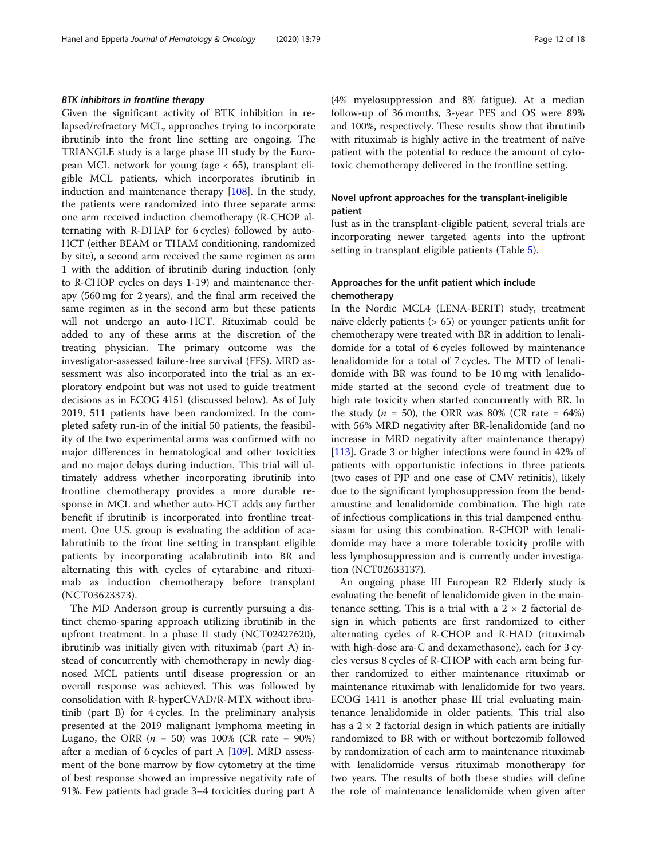#### BTK inhibitors in frontline therapy

Given the significant activity of BTK inhibition in relapsed/refractory MCL, approaches trying to incorporate ibrutinib into the front line setting are ongoing. The TRIANGLE study is a large phase III study by the European MCL network for young (age  $<$  65), transplant eligible MCL patients, which incorporates ibrutinib in induction and maintenance therapy [[108\]](#page-17-0). In the study, the patients were randomized into three separate arms: one arm received induction chemotherapy (R-CHOP alternating with R-DHAP for 6 cycles) followed by auto-HCT (either BEAM or THAM conditioning, randomized by site), a second arm received the same regimen as arm 1 with the addition of ibrutinib during induction (only to R-CHOP cycles on days 1-19) and maintenance therapy (560 mg for 2 years), and the final arm received the same regimen as in the second arm but these patients will not undergo an auto-HCT. Rituximab could be added to any of these arms at the discretion of the treating physician. The primary outcome was the investigator-assessed failure-free survival (FFS). MRD assessment was also incorporated into the trial as an exploratory endpoint but was not used to guide treatment decisions as in ECOG 4151 (discussed below). As of July 2019, 511 patients have been randomized. In the completed safety run-in of the initial 50 patients, the feasibility of the two experimental arms was confirmed with no major differences in hematological and other toxicities and no major delays during induction. This trial will ultimately address whether incorporating ibrutinib into frontline chemotherapy provides a more durable response in MCL and whether auto-HCT adds any further benefit if ibrutinib is incorporated into frontline treatment. One U.S. group is evaluating the addition of acalabrutinib to the front line setting in transplant eligible patients by incorporating acalabrutinib into BR and alternating this with cycles of cytarabine and rituximab as induction chemotherapy before transplant (NCT03623373).

The MD Anderson group is currently pursuing a distinct chemo-sparing approach utilizing ibrutinib in the upfront treatment. In a phase II study (NCT02427620), ibrutinib was initially given with rituximab (part A) instead of concurrently with chemotherapy in newly diagnosed MCL patients until disease progression or an overall response was achieved. This was followed by consolidation with R-hyperCVAD/R-MTX without ibrutinib (part B) for 4 cycles. In the preliminary analysis presented at the 2019 malignant lymphoma meeting in Lugano, the ORR ( $n = 50$ ) was 100% (CR rate = 90%) after a median of 6 cycles of part A [\[109\]](#page-17-0). MRD assessment of the bone marrow by flow cytometry at the time of best response showed an impressive negativity rate of 91%. Few patients had grade 3–4 toxicities during part A (4% myelosuppression and 8% fatigue). At a median follow-up of 36 months, 3-year PFS and OS were 89% and 100%, respectively. These results show that ibrutinib with rituximab is highly active in the treatment of naïve patient with the potential to reduce the amount of cytotoxic chemotherapy delivered in the frontline setting.

# Novel upfront approaches for the transplant-ineligible patient

Just as in the transplant-eligible patient, several trials are incorporating newer targeted agents into the upfront setting in transplant eligible patients (Table [5\)](#page-12-0).

# Approaches for the unfit patient which include chemotherapy

In the Nordic MCL4 (LENA-BERIT) study, treatment naïve elderly patients (> 65) or younger patients unfit for chemotherapy were treated with BR in addition to lenalidomide for a total of 6 cycles followed by maintenance lenalidomide for a total of 7 cycles. The MTD of lenalidomide with BR was found to be 10 mg with lenalidomide started at the second cycle of treatment due to high rate toxicity when started concurrently with BR. In the study ( $n = 50$ ), the ORR was 80% (CR rate = 64%) with 56% MRD negativity after BR-lenalidomide (and no increase in MRD negativity after maintenance therapy) [[113\]](#page-17-0). Grade 3 or higher infections were found in 42% of patients with opportunistic infections in three patients (two cases of PJP and one case of CMV retinitis), likely due to the significant lymphosuppression from the bendamustine and lenalidomide combination. The high rate of infectious complications in this trial dampened enthusiasm for using this combination. R-CHOP with lenalidomide may have a more tolerable toxicity profile with less lymphosuppression and is currently under investigation (NCT02633137).

An ongoing phase III European R2 Elderly study is evaluating the benefit of lenalidomide given in the maintenance setting. This is a trial with a  $2 \times 2$  factorial design in which patients are first randomized to either alternating cycles of R-CHOP and R-HAD (rituximab with high-dose ara-C and dexamethasone), each for 3 cycles versus 8 cycles of R-CHOP with each arm being further randomized to either maintenance rituximab or maintenance rituximab with lenalidomide for two years. ECOG 1411 is another phase III trial evaluating maintenance lenalidomide in older patients. This trial also has a  $2 \times 2$  factorial design in which patients are initially randomized to BR with or without bortezomib followed by randomization of each arm to maintenance rituximab with lenalidomide versus rituximab monotherapy for two years. The results of both these studies will define the role of maintenance lenalidomide when given after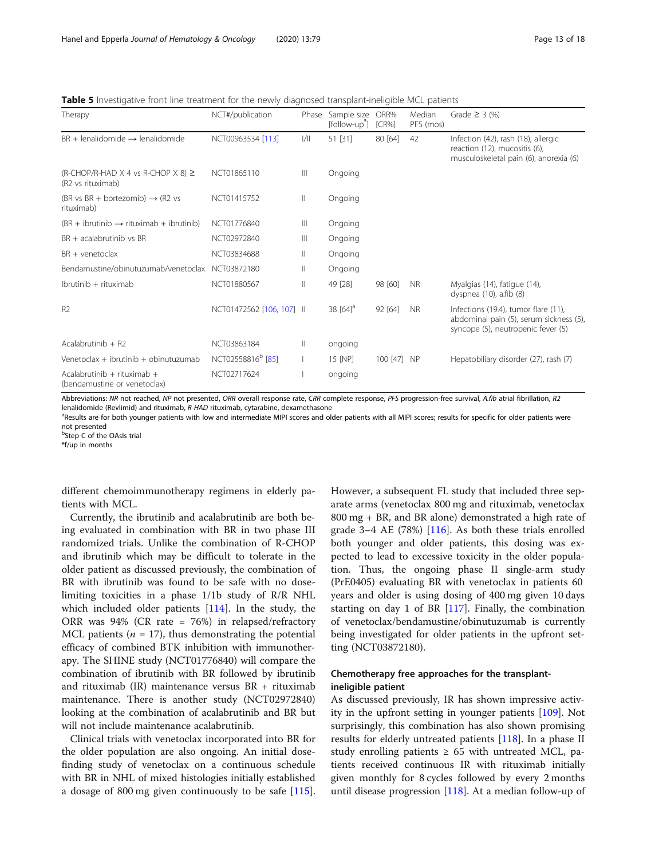<span id="page-12-0"></span>Table 5 Investigative front line treatment for the newly diagnosed transplant-ineligible MCL patients

| Therapy                                                      | NCT#/publication              | Phase        | Sample size<br>[follow-up <sup>*</sup> ] | ORR%<br>ICR% | Median<br>PFS (mos) | Grade $\geq$ 3 (%)                                                                                                    |
|--------------------------------------------------------------|-------------------------------|--------------|------------------------------------------|--------------|---------------------|-----------------------------------------------------------------------------------------------------------------------|
| $BR + lenalidomide \rightarrow lenalidomide$                 | NCT00963534 [113]             | /            | 51 [31]                                  | 80 [64]      | 42                  | Infection (42), rash (18), allergic<br>reaction (12), mucositis (6),<br>musculoskeletal pain (6), anorexia (6)        |
| (R-CHOP/R-HAD X 4 vs R-CHOP X 8) $\geq$<br>(R2 vs rituximab) | NCT01865110                   | Ш            | Ongoing                                  |              |                     |                                                                                                                       |
| (BR vs BR + bortezomib) $\rightarrow$ (R2 vs<br>rituximab)   | NCT01415752                   | $\mathbb{I}$ | Ongoing                                  |              |                     |                                                                                                                       |
| $(BR + ibrutinib \rightarrow rituximab + ibrutinib)$         | NCT01776840                   | Ш            | Ongoing                                  |              |                     |                                                                                                                       |
| BR + acalabrutinib vs BR                                     | NCT02972840                   | Ш            | Ongoing                                  |              |                     |                                                                                                                       |
| $BR +$ venetoclax                                            | NCT03834688                   | $\mathbb{I}$ | Ongoing                                  |              |                     |                                                                                                                       |
| Bendamustine/obinutuzumab/venetoclax                         | NCT03872180                   | Ш            | Ongoing                                  |              |                     |                                                                                                                       |
| Ibrutinib + rituximab                                        | NCT01880567                   | Ш            | 49 [28]                                  | 98 [60]      | <b>NR</b>           | Myalgias (14), fatigue (14),<br>dyspnea (10), a.fib (8)                                                               |
| R <sub>2</sub>                                               | NCT01472562 [106, 107] II     |              | 38 $[64]$ <sup>a</sup>                   | 92 [64]      | <b>NR</b>           | Infections (19.4), tumor flare (11),<br>abdominal pain (5), serum sickness (5),<br>syncope (5), neutropenic fever (5) |
| Acalabrutinib $+$ R2                                         | NCT03863184                   | Ш            | ongoing                                  |              |                     |                                                                                                                       |
| Venetoclax + ibrutinib + obinutuzumab                        | NCT02558816 <sup>b</sup> [85] |              | 15 [NP]                                  | 100 [47] NP  |                     | Hepatobiliary disorder (27), rash (7)                                                                                 |
| Acalabrutinib + rituximab +<br>(bendamustine or venetoclax)  | NCT02717624                   |              | ongoing                                  |              |                     |                                                                                                                       |

Abbreviations: NR not reached, NP not presented, ORR overall response rate, CRR complete response, PFS progression-free survival, A.fib atrial fibrillation, R2 lenalidomide (Revlimid) and rituximab, R-HAD rituximab, cytarabine, dexamethasone

<sup>a</sup>Results are for both younger patients with low and intermediate MIPI scores and older patients with all MIPI scores; results for specific for older patients were not presented

<sup>b</sup>Step C of the OAsIs trial

\*f/up in months

different chemoimmunotherapy regimens in elderly patients with MCL.

Currently, the ibrutinib and acalabrutinib are both being evaluated in combination with BR in two phase III randomized trials. Unlike the combination of R-CHOP and ibrutinib which may be difficult to tolerate in the older patient as discussed previously, the combination of BR with ibrutinib was found to be safe with no doselimiting toxicities in a phase 1/1b study of R/R NHL which included older patients [\[114\]](#page-17-0). In the study, the ORR was 94% (CR rate = 76%) in relapsed/refractory MCL patients ( $n = 17$ ), thus demonstrating the potential efficacy of combined BTK inhibition with immunotherapy. The SHINE study (NCT01776840) will compare the combination of ibrutinib with BR followed by ibrutinib and rituximab (IR) maintenance versus BR + rituximab maintenance. There is another study (NCT02972840) looking at the combination of acalabrutinib and BR but will not include maintenance acalabrutinib.

Clinical trials with venetoclax incorporated into BR for the older population are also ongoing. An initial dosefinding study of venetoclax on a continuous schedule with BR in NHL of mixed histologies initially established a dosage of 800 mg given continuously to be safe [\[115](#page-17-0)]. However, a subsequent FL study that included three separate arms (venetoclax 800 mg and rituximab, venetoclax 800 mg + BR, and BR alone) demonstrated a high rate of grade  $3-4$  AE (78%) [\[116\]](#page-17-0). As both these trials enrolled both younger and older patients, this dosing was expected to lead to excessive toxicity in the older population. Thus, the ongoing phase II single-arm study (PrE0405) evaluating BR with venetoclax in patients 60 years and older is using dosing of 400 mg given 10 days starting on day 1 of BR  $[117]$  $[117]$  $[117]$ . Finally, the combination of venetoclax/bendamustine/obinutuzumab is currently being investigated for older patients in the upfront setting (NCT03872180).

# Chemotherapy free approaches for the transplantineligible patient

As discussed previously, IR has shown impressive activity in the upfront setting in younger patients [\[109\]](#page-17-0). Not surprisingly, this combination has also shown promising results for elderly untreated patients [[118\]](#page-17-0). In a phase II study enrolling patients  $\geq 65$  with untreated MCL, patients received continuous IR with rituximab initially given monthly for 8 cycles followed by every 2 months until disease progression [[118\]](#page-17-0). At a median follow-up of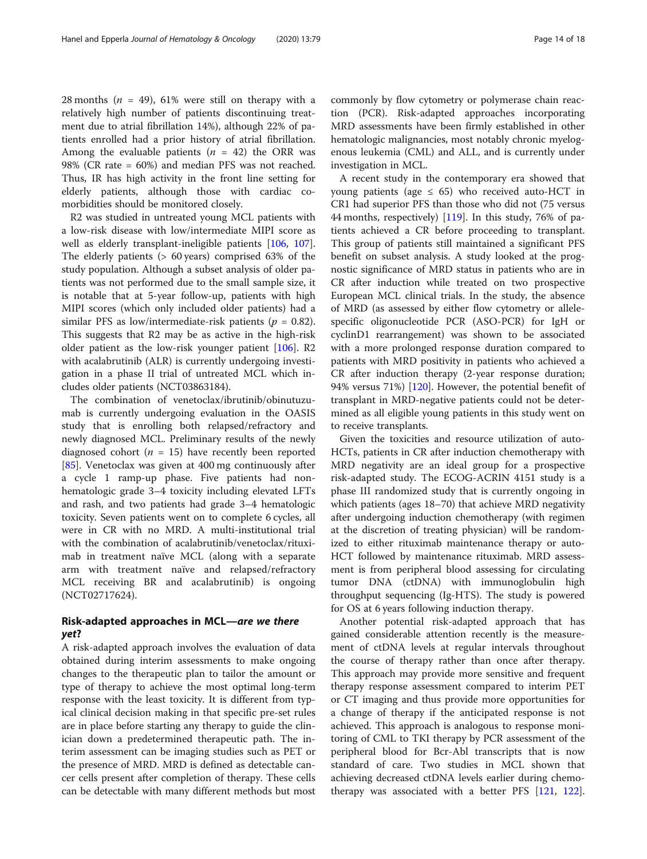28 months ( $n = 49$ ), 61% were still on therapy with a relatively high number of patients discontinuing treatment due to atrial fibrillation 14%), although 22% of patients enrolled had a prior history of atrial fibrillation. Among the evaluable patients ( $n = 42$ ) the ORR was 98% (CR rate = 60%) and median PFS was not reached. Thus, IR has high activity in the front line setting for elderly patients, although those with cardiac comorbidities should be monitored closely.

R2 was studied in untreated young MCL patients with a low-risk disease with low/intermediate MIPI score as well as elderly transplant-ineligible patients [[106,](#page-17-0) [107](#page-17-0)]. The elderly patients (> 60 years) comprised 63% of the study population. Although a subset analysis of older patients was not performed due to the small sample size, it is notable that at 5-year follow-up, patients with high MIPI scores (which only included older patients) had a similar PFS as low/intermediate-risk patients ( $p = 0.82$ ). This suggests that R2 may be as active in the high-risk older patient as the low-risk younger patient [\[106\]](#page-17-0). R2 with acalabrutinib (ALR) is currently undergoing investigation in a phase II trial of untreated MCL which includes older patients (NCT03863184).

The combination of venetoclax/ibrutinib/obinutuzumab is currently undergoing evaluation in the OASIS study that is enrolling both relapsed/refractory and newly diagnosed MCL. Preliminary results of the newly diagnosed cohort ( $n = 15$ ) have recently been reported [[85\]](#page-16-0). Venetoclax was given at 400 mg continuously after a cycle 1 ramp-up phase. Five patients had nonhematologic grade 3–4 toxicity including elevated LFTs and rash, and two patients had grade 3–4 hematologic toxicity. Seven patients went on to complete 6 cycles, all were in CR with no MRD. A multi-institutional trial with the combination of acalabrutinib/venetoclax/rituximab in treatment naïve MCL (along with a separate arm with treatment naïve and relapsed/refractory MCL receiving BR and acalabrutinib) is ongoing (NCT02717624).

# Risk-adapted approaches in MCL—are we there yet?

A risk-adapted approach involves the evaluation of data obtained during interim assessments to make ongoing changes to the therapeutic plan to tailor the amount or type of therapy to achieve the most optimal long-term response with the least toxicity. It is different from typical clinical decision making in that specific pre-set rules are in place before starting any therapy to guide the clinician down a predetermined therapeutic path. The interim assessment can be imaging studies such as PET or the presence of MRD. MRD is defined as detectable cancer cells present after completion of therapy. These cells can be detectable with many different methods but most

commonly by flow cytometry or polymerase chain reaction (PCR). Risk-adapted approaches incorporating MRD assessments have been firmly established in other hematologic malignancies, most notably chronic myelogenous leukemia (CML) and ALL, and is currently under investigation in MCL.

A recent study in the contemporary era showed that young patients (age  $\leq$  65) who received auto-HCT in CR1 had superior PFS than those who did not (75 versus 44 months, respectively) [[119\]](#page-17-0). In this study, 76% of patients achieved a CR before proceeding to transplant. This group of patients still maintained a significant PFS benefit on subset analysis. A study looked at the prognostic significance of MRD status in patients who are in CR after induction while treated on two prospective European MCL clinical trials. In the study, the absence of MRD (as assessed by either flow cytometry or allelespecific oligonucleotide PCR (ASO-PCR) for IgH or cyclinD1 rearrangement) was shown to be associated with a more prolonged response duration compared to patients with MRD positivity in patients who achieved a CR after induction therapy (2-year response duration; 94% versus 71%) [\[120](#page-17-0)]. However, the potential benefit of transplant in MRD-negative patients could not be determined as all eligible young patients in this study went on to receive transplants.

Given the toxicities and resource utilization of auto-HCTs, patients in CR after induction chemotherapy with MRD negativity are an ideal group for a prospective risk-adapted study. The ECOG-ACRIN 4151 study is a phase III randomized study that is currently ongoing in which patients (ages 18–70) that achieve MRD negativity after undergoing induction chemotherapy (with regimen at the discretion of treating physician) will be randomized to either rituximab maintenance therapy or auto-HCT followed by maintenance rituximab. MRD assessment is from peripheral blood assessing for circulating tumor DNA (ctDNA) with immunoglobulin high throughput sequencing (Ig-HTS). The study is powered for OS at 6 years following induction therapy.

Another potential risk-adapted approach that has gained considerable attention recently is the measurement of ctDNA levels at regular intervals throughout the course of therapy rather than once after therapy. This approach may provide more sensitive and frequent therapy response assessment compared to interim PET or CT imaging and thus provide more opportunities for a change of therapy if the anticipated response is not achieved. This approach is analogous to response monitoring of CML to TKI therapy by PCR assessment of the peripheral blood for Bcr-Abl transcripts that is now standard of care. Two studies in MCL shown that achieving decreased ctDNA levels earlier during chemotherapy was associated with a better PFS [[121,](#page-17-0) [122](#page-17-0)].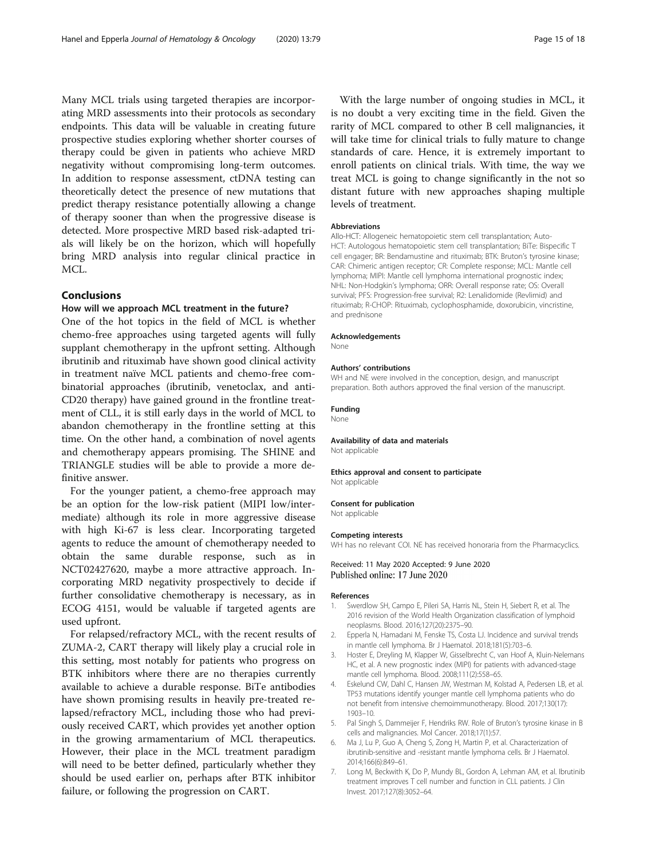<span id="page-14-0"></span>Many MCL trials using targeted therapies are incorporating MRD assessments into their protocols as secondary endpoints. This data will be valuable in creating future prospective studies exploring whether shorter courses of therapy could be given in patients who achieve MRD negativity without compromising long-term outcomes. In addition to response assessment, ctDNA testing can theoretically detect the presence of new mutations that predict therapy resistance potentially allowing a change of therapy sooner than when the progressive disease is detected. More prospective MRD based risk-adapted trials will likely be on the horizon, which will hopefully bring MRD analysis into regular clinical practice in MCL.

#### Conclusions

#### How will we approach MCL treatment in the future?

One of the hot topics in the field of MCL is whether chemo-free approaches using targeted agents will fully supplant chemotherapy in the upfront setting. Although ibrutinib and rituximab have shown good clinical activity in treatment naïve MCL patients and chemo-free combinatorial approaches (ibrutinib, venetoclax, and anti-CD20 therapy) have gained ground in the frontline treatment of CLL, it is still early days in the world of MCL to abandon chemotherapy in the frontline setting at this time. On the other hand, a combination of novel agents and chemotherapy appears promising. The SHINE and TRIANGLE studies will be able to provide a more definitive answer.

For the younger patient, a chemo-free approach may be an option for the low-risk patient (MIPI low/intermediate) although its role in more aggressive disease with high Ki-67 is less clear. Incorporating targeted agents to reduce the amount of chemotherapy needed to obtain the same durable response, such as in NCT02427620, maybe a more attractive approach. Incorporating MRD negativity prospectively to decide if further consolidative chemotherapy is necessary, as in ECOG 4151, would be valuable if targeted agents are used upfront.

For relapsed/refractory MCL, with the recent results of ZUMA-2, CART therapy will likely play a crucial role in this setting, most notably for patients who progress on BTK inhibitors where there are no therapies currently available to achieve a durable response. BiTe antibodies have shown promising results in heavily pre-treated relapsed/refractory MCL, including those who had previously received CART, which provides yet another option in the growing armamentarium of MCL therapeutics. However, their place in the MCL treatment paradigm will need to be better defined, particularly whether they should be used earlier on, perhaps after BTK inhibitor failure, or following the progression on CART.

With the large number of ongoing studies in MCL, it is no doubt a very exciting time in the field. Given the rarity of MCL compared to other B cell malignancies, it will take time for clinical trials to fully mature to change standards of care. Hence, it is extremely important to enroll patients on clinical trials. With time, the way we treat MCL is going to change significantly in the not so distant future with new approaches shaping multiple levels of treatment.

#### Abbreviations

Allo-HCT: Allogeneic hematopoietic stem cell transplantation; Auto-HCT: Autologous hematopoietic stem cell transplantation; BiTe: Bispecific T cell engager; BR: Bendamustine and rituximab; BTK: Bruton's tyrosine kinase; CAR: Chimeric antigen receptor; CR: Complete response; MCL: Mantle cell lymphoma; MIPI: Mantle cell lymphoma international prognostic index; NHL: Non-Hodgkin's lymphoma; ORR: Overall response rate; OS: Overall survival; PFS: Progression-free survival; R2: Lenalidomide (Revlimid) and rituximab; R-CHOP: Rituximab, cyclophosphamide, doxorubicin, vincristine, and prednisone

#### Acknowledgements

None

#### Authors' contributions

WH and NE were involved in the conception, design, and manuscript preparation. Both authors approved the final version of the manuscript.

#### Funding

None

#### Availability of data and materials

Not applicable

#### Ethics approval and consent to participate

Not applicable

#### Consent for publication

Not applicable

#### Competing interests

WH has no relevant COI. NE has received honoraria from the Pharmacyclics.

Received: 11 May 2020 Accepted: 9 June 2020 Published online: 17 June 2020

#### References

- 1. Swerdlow SH, Campo E, Pileri SA, Harris NL, Stein H, Siebert R, et al. The 2016 revision of the World Health Organization classification of lymphoid neoplasms. Blood. 2016;127(20):2375–90.
- 2. Epperla N, Hamadani M, Fenske TS, Costa LJ. Incidence and survival trends in mantle cell lymphoma. Br J Haematol. 2018;181(5):703–6.
- 3. Hoster E, Dreyling M, Klapper W, Gisselbrecht C, van Hoof A, Kluin-Nelemans HC, et al. A new prognostic index (MIPI) for patients with advanced-stage mantle cell lymphoma. Blood. 2008;111(2):558–65.
- 4. Eskelund CW, Dahl C, Hansen JW, Westman M, Kolstad A, Pedersen LB, et al. TP53 mutations identify younger mantle cell lymphoma patients who do not benefit from intensive chemoimmunotherapy. Blood. 2017;130(17): 1903–10.
- 5. Pal Singh S, Dammeijer F, Hendriks RW. Role of Bruton's tyrosine kinase in B cells and malignancies. Mol Cancer. 2018;17(1):57.
- 6. Ma J, Lu P, Guo A, Cheng S, Zong H, Martin P, et al. Characterization of ibrutinib-sensitive and -resistant mantle lymphoma cells. Br J Haematol. 2014;166(6):849–61.
- 7. Long M, Beckwith K, Do P, Mundy BL, Gordon A, Lehman AM, et al. Ibrutinib treatment improves T cell number and function in CLL patients. J Clin Invest. 2017;127(8):3052–64.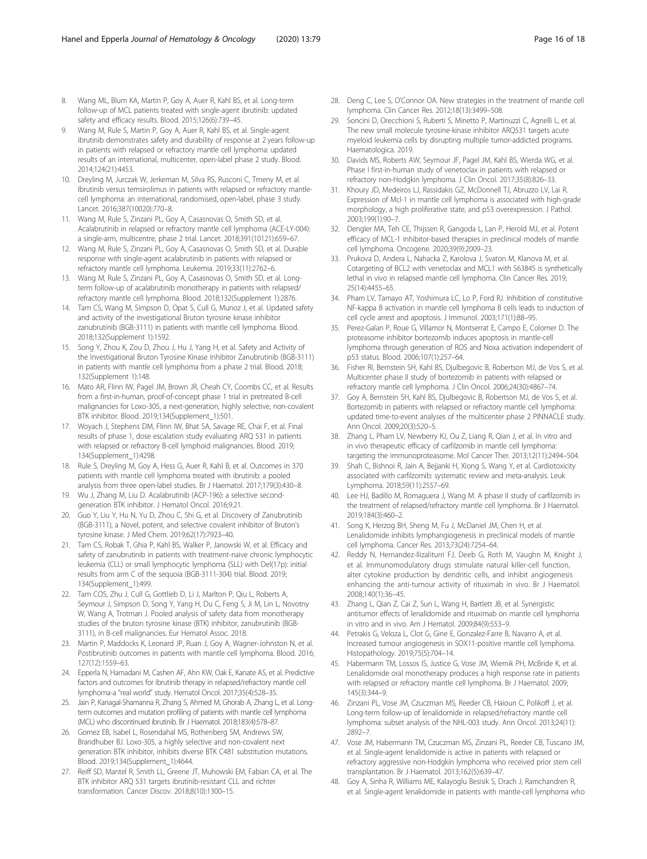- <span id="page-15-0"></span>8. Wang ML, Blum KA, Martin P, Goy A, Auer R, Kahl BS, et al. Long-term follow-up of MCL patients treated with single-agent ibrutinib: updated safety and efficacy results. Blood. 2015;126(6):739–45.
- 9. Wang M, Rule S, Martin P, Goy A, Auer R, Kahl BS, et al. Single-agent ibrutinib demonstrates safety and durability of response at 2 years follow-up in patients with relapsed or refractory mantle cell lymphoma: updated results of an international, multicenter, open-label phase 2 study. Blood. 2014;124(21):4453.
- 10. Dreyling M, Jurczak W, Jerkeman M, Silva RS, Rusconi C, Trneny M, et al. Ibrutinib versus temsirolimus in patients with relapsed or refractory mantlecell lymphoma: an international, randomised, open-label, phase 3 study. Lancet. 2016;387(10020):770–8.
- 11. Wang M, Rule S, Zinzani PL, Goy A, Casasnovas O, Smith SD, et al. Acalabrutinib in relapsed or refractory mantle cell lymphoma (ACE-LY-004): a single-arm, multicentre, phase 2 trial. Lancet. 2018;391(10121):659–67.
- 12. Wang M, Rule S, Zinzani PL, Goy A, Casasnovas O, Smith SD, et al. Durable response with single-agent acalabrutinib in patients with relapsed or refractory mantle cell lymphoma. Leukemia. 2019;33(11):2762–6.
- 13. Wang M, Rule S, Zinzani PL, Goy A, Casasnovas O, Smith SD, et al. Longterm follow-up of acalabrutinib monotherapy in patients with relapsed/ refractory mantle cell lymphoma. Blood. 2018;132(Supplement 1):2876.
- 14. Tam CS, Wang M, Simpson D, Opat S, Cull G, Munoz J, et al. Updated safety and activity of the investigational Bruton tyrosine kinase inhibitor zanubrutinib (BGB-3111) in patients with mantle cell lymphoma. Blood. 2018;132(Supplement 1):1592.
- 15. Song Y, Zhou K, Zou D, Zhou J, Hu J, Yang H, et al. Safety and Activity of the Investigational Bruton Tyrosine Kinase Inhibitor Zanubrutinib (BGB-3111) in patients with mantle cell lymphoma from a phase 2 trial. Blood. 2018; 132(Supplement 1):148.
- 16. Mato AR, Flinn IW, Pagel JM, Brown JR, Cheah CY, Coombs CC, et al. Results from a first-in-human, proof-of-concept phase 1 trial in pretreated B-cell malignancies for Loxo-305, a next-generation, highly selective, non-covalent BTK inhibitor. Blood. 2019;134(Supplement\_1):501.
- 17. Woyach J, Stephens DM, Flinn IW, Bhat SA, Savage RE, Chai F, et al. Final results of phase 1, dose escalation study evaluating ARQ 531 in patients with relapsed or refractory B-cell lymphoid malignancies. Blood. 2019; 134(Supplement\_1):4298.
- 18. Rule S, Dreyling M, Goy A, Hess G, Auer R, Kahl B, et al. Outcomes in 370 patients with mantle cell lymphoma treated with ibrutinib: a pooled analysis from three open-label studies. Br J Haematol. 2017;179(3):430–8.
- 19. Wu J, Zhang M, Liu D. Acalabrutinib (ACP-196): a selective secondgeneration BTK inhibitor. J Hematol Oncol. 2016;9:21.
- 20. Guo Y, Liu Y, Hu N, Yu D, Zhou C, Shi G, et al. Discovery of Zanubrutinib (BGB-3111), a Novel, potent, and selective covalent inhibitor of Bruton's tyrosine kinase. J Med Chem. 2019;62(17):7923–40.
- 21. Tam CS, Robak T, Ghia P, Kahl BS, Walker P, Janowski W, et al. Efficacy and safety of zanubrutinib in patients with treatment-naive chronic lymphocytic leukemia (CLL) or small lymphocytic lymphoma (SLL) with Del(17p): initial results from arm C of the sequoia (BGB-3111-304) trial. Blood. 2019; 134(Supplement\_1):499.
- 22. Tam COS, Zhu J, Cull G, Gottlieb D, Li J, Marlton P, Qiu L, Roberts A, Seymour J, Simpson D, Song Y, Yang H, Du C, Feng S, Ji M, Lin L, Novotny W, Wang A, Trotman J. Pooled analysis of safety data from monotherapy studies of the bruton tyrosine kinase (BTK) inhibitor, zanubrutinib (BGB-3111), in B-cell malignancies. Eur Hematol Assoc. 2018.
- 23. Martin P, Maddocks K, Leonard JP, Ruan J, Goy A, Wagner-Johnston N, et al. Postibrutinib outcomes in patients with mantle cell lymphoma. Blood. 2016; 127(12):1559–63.
- 24. Epperla N, Hamadani M, Cashen AF, Ahn KW, Oak E, Kanate AS, et al. Predictive factors and outcomes for ibrutinib therapy in relapsed/refractory mantle cell lymphoma-a "real world" study. Hematol Oncol. 2017;35(4):528–35.
- 25. Jain P, Kanagal-Shamanna R, Zhang S, Ahmed M, Ghorab A, Zhang L, et al. Longterm outcomes and mutation profiling of patients with mantle cell lymphoma (MCL) who discontinued ibrutinib. Br J Haematol. 2018;183(4):578–87.
- 26. Gomez EB, Isabel L, Rosendahal MS, Rothenberg SM, Andrews SW, Brandhuber BJ. Loxo-305, a highly selective and non-covalent next generation BTK inhibitor, inhibits diverse BTK C481 substitution mutations. Blood. 2019;134(Supplement\_1):4644.
- 27. Reiff SD, Mantel R, Smith LL, Greene JT, Muhowski EM, Fabian CA, et al. The BTK inhibitor ARQ 531 targets ibrutinib-resistant CLL and richter transformation. Cancer Discov. 2018;8(10):1300–15.
- 28. Deng C, Lee S, O'Connor OA. New strategies in the treatment of mantle cell lymphoma. Clin Cancer Res. 2012;18(13):3499–508.
- 29. Soncini D, Orecchioni S, Ruberti S, Minetto P, Martinuzzi C, Agnelli L, et al. The new small molecule tyrosine-kinase inhibitor ARQ531 targets acute myeloid leukemia cells by disrupting multiple tumor-addicted programs. Haematologica. 2019.
- 30. Davids MS, Roberts AW, Seymour JF, Pagel JM, Kahl BS, Wierda WG, et al. Phase I first-in-human study of venetoclax in patients with relapsed or refractory non-Hodgkin lymphoma. J Clin Oncol. 2017;35(8):826–33.
- 31. Khoury JD, Medeiros LJ, Rassidakis GZ, McDonnell TJ, Abruzzo LV, Lai R. Expression of Mcl-1 in mantle cell lymphoma is associated with high-grade morphology, a high proliferative state, and p53 overexpression. J Pathol. 2003;199(1):90–7.
- 32. Dengler MA, Teh CE, Thijssen R, Gangoda L, Lan P, Herold MJ, et al. Potent efficacy of MCL-1 inhibitor-based therapies in preclinical models of mantle cell lymphoma. Oncogene. 2020;39(9):2009–23.
- 33. Prukova D, Andera L, Nahacka Z, Karolova J, Svaton M, Klanova M, et al. Cotargeting of BCL2 with venetoclax and MCL1 with S63845 is synthetically lethal in vivo in relapsed mantle cell lymphoma. Clin Cancer Res. 2019; 25(14):4455–65.
- 34. Pham LV, Tamayo AT, Yoshimura LC, Lo P, Ford RJ. Inhibition of constitutive NF-kappa B activation in mantle cell lymphoma B cells leads to induction of cell cycle arrest and apoptosis. J Immunol. 2003;171(1):88–95.
- 35. Perez-Galan P, Roue G, Villamor N, Montserrat E, Campo E, Colomer D. The proteasome inhibitor bortezomib induces apoptosis in mantle-cell lymphoma through generation of ROS and Noxa activation independent of p53 status. Blood. 2006;107(1):257–64.
- 36. Fisher RI, Bernstein SH, Kahl BS, Djulbegovic B, Robertson MJ, de Vos S, et al. Multicenter phase II study of bortezomib in patients with relapsed or refractory mantle cell lymphoma. J Clin Oncol. 2006;24(30):4867–74.
- 37. Goy A, Bernstein SH, Kahl BS, Djulbegovic B, Robertson MJ, de Vos S, et al. Bortezomib in patients with relapsed or refractory mantle cell lymphoma: updated time-to-event analyses of the multicenter phase 2 PINNACLE study. Ann Oncol. 2009;20(3):520–5.
- 38. Zhang L, Pham LV, Newberry KJ, Ou Z, Liang R, Qian J, et al. In vitro and in vivo therapeutic efficacy of carfilzomib in mantle cell lymphoma: targeting the immunoproteasome. Mol Cancer Ther. 2013;12(11):2494–504.
- 39. Shah C, Bishnoi R, Jain A, Bejjanki H, Xiong S, Wang Y, et al. Cardiotoxicity associated with carfilzomib: systematic review and meta-analysis. Leuk Lymphoma. 2018;59(11):2557–69.
- 40. Lee HJ, Badillo M, Romaguera J, Wang M. A phase II study of carfilzomib in the treatment of relapsed/refractory mantle cell lymphoma. Br J Haematol. 2019;184(3):460–2.
- 41. Song K, Herzog BH, Sheng M, Fu J, McDaniel JM, Chen H, et al. Lenalidomide inhibits lymphangiogenesis in preclinical models of mantle cell lymphoma. Cancer Res. 2013;73(24):7254–64.
- 42. Reddy N, Hernandez-Ilizaliturri FJ, Deeb G, Roth M, Vaughn M, Knight J, et al. Immunomodulatory drugs stimulate natural killer-cell function, alter cytokine production by dendritic cells, and inhibit angiogenesis enhancing the anti-tumour activity of rituximab in vivo. Br J Haematol. 2008;140(1):36–45.
- 43. Zhang L, Qian Z, Cai Z, Sun L, Wang H, Bartlett JB, et al. Synergistic antitumor effects of lenalidomide and rituximab on mantle cell lymphoma in vitro and in vivo. Am J Hematol. 2009;84(9):553–9.
- 44. Petrakis G, Veloza L, Clot G, Gine E, Gonzalez-Farre B, Navarro A, et al. Increased tumour angiogenesis in SOX11-positive mantle cell lymphoma. Histopathology. 2019;75(5):704–14.
- 45. Habermann TM, Lossos IS, Justice G, Vose JM, Wiernik PH, McBride K, et al. Lenalidomide oral monotherapy produces a high response rate in patients with relapsed or refractory mantle cell lymphoma. Br J Haematol. 2009; 145(3):344–9.
- 46. Zinzani PL, Vose JM, Czuczman MS, Reeder CB, Haioun C, Polikoff J, et al. Long-term follow-up of lenalidomide in relapsed/refractory mantle cell lymphoma: subset analysis of the NHL-003 study. Ann Oncol. 2013;24(11): 2892–7.
- 47. Vose JM, Habermann TM, Czuczman MS, Zinzani PL, Reeder CB, Tuscano JM, et al. Single-agent lenalidomide is active in patients with relapsed or refractory aggressive non-Hodgkin lymphoma who received prior stem cell transplantation. Br J Haematol. 2013;162(5):639–47.
- 48. Goy A, Sinha R, Williams ME, Kalayoglu Besisik S, Drach J, Ramchandren R, et al. Single-agent lenalidomide in patients with mantle-cell lymphoma who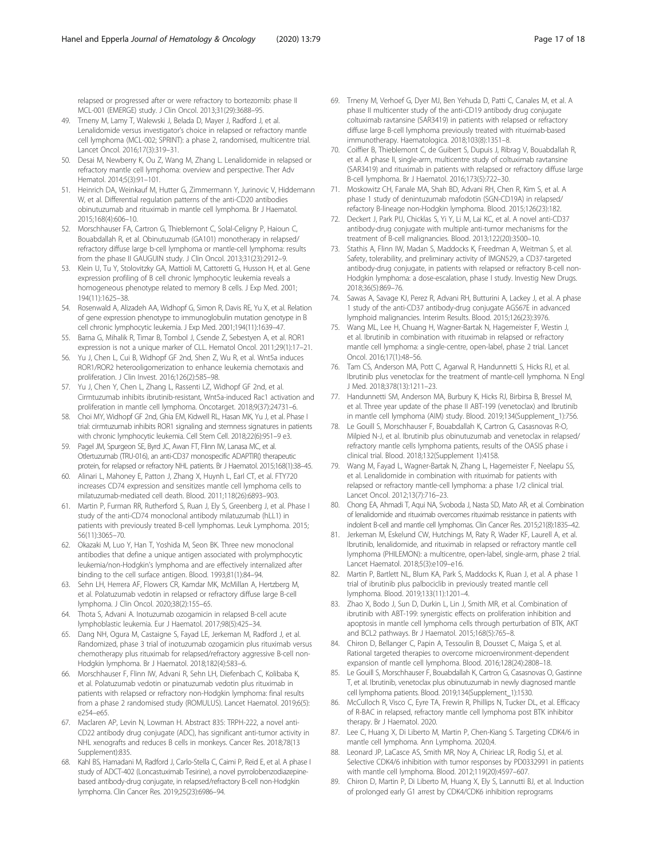<span id="page-16-0"></span>relapsed or progressed after or were refractory to bortezomib: phase II MCL-001 (EMERGE) study. J Clin Oncol. 2013;31(29):3688–95.

- 49. Trneny M, Lamy T, Walewski J, Belada D, Mayer J, Radford J, et al. Lenalidomide versus investigator's choice in relapsed or refractory mantle cell lymphoma (MCL-002; SPRINT): a phase 2, randomised, multicentre trial. Lancet Oncol. 2016;17(3):319–31.
- 50. Desai M, Newberry K, Ou Z, Wang M, Zhang L. Lenalidomide in relapsed or refractory mantle cell lymphoma: overview and perspective. Ther Adv Hematol. 2014;5(3):91–101.
- 51. Heinrich DA, Weinkauf M, Hutter G, Zimmermann Y, Jurinovic V, Hiddemann W, et al. Differential regulation patterns of the anti-CD20 antibodies obinutuzumab and rituximab in mantle cell lymphoma. Br J Haematol. 2015;168(4):606–10.
- 52. Morschhauser FA, Cartron G, Thieblemont C, Solal-Celigny P, Haioun C, Bouabdallah R, et al. Obinutuzumab (GA101) monotherapy in relapsed/ refractory diffuse large b-cell lymphoma or mantle-cell lymphoma: results from the phase II GAUGUIN study. J Clin Oncol. 2013;31(23):2912–9.
- 53. Klein U, Tu Y, Stolovitzky GA, Mattioli M, Cattoretti G, Husson H, et al. Gene expression profiling of B cell chronic lymphocytic leukemia reveals a homogeneous phenotype related to memory B cells. J Exp Med. 2001; 194(11):1625–38.
- 54. Rosenwald A, Alizadeh AA, Widhopf G, Simon R, Davis RE, Yu X, et al. Relation of gene expression phenotype to immunoglobulin mutation genotype in B cell chronic lymphocytic leukemia. J Exp Med. 2001;194(11):1639–47.
- 55. Barna G, Mihalik R, Timar B, Tombol J, Csende Z, Sebestyen A, et al. ROR1 expression is not a unique marker of CLL. Hematol Oncol. 2011;29(1):17–21.
- 56. Yu J, Chen L, Cui B, Widhopf GF 2nd, Shen Z, Wu R, et al. Wnt5a induces ROR1/ROR2 heterooligomerization to enhance leukemia chemotaxis and proliferation. J Clin Invest. 2016;126(2):585–98.
- 57. Yu J, Chen Y, Chen L, Zhang L, Rassenti LZ, Widhopf GF 2nd, et al. Cirmtuzumab inhibits ibrutinib-resistant, Wnt5a-induced Rac1 activation and proliferation in mantle cell lymphoma. Oncotarget. 2018;9(37):24731–6.
- 58. Choi MY, Widhopf GF 2nd, Ghia EM, Kidwell RL, Hasan MK, Yu J, et al. Phase I trial: cirmtuzumab inhibits ROR1 signaling and stemness signatures in patients with chronic lymphocytic leukemia. Cell Stem Cell. 2018;22(6):951–9 e3.
- 59. Pagel JM, Spurgeon SE, Byrd JC, Awan FT, Flinn IW, Lanasa MC, et al. Otlertuzumab (TRU-016), an anti-CD37 monospecific ADAPTIR() therapeutic protein, for relapsed or refractory NHL patients. Br J Haematol. 2015;168(1):38–45.
- 60. Alinari L, Mahoney E, Patton J, Zhang X, Huynh L, Earl CT, et al. FTY720 increases CD74 expression and sensitizes mantle cell lymphoma cells to milatuzumab-mediated cell death. Blood. 2011;118(26):6893–903.
- 61. Martin P, Furman RR, Rutherford S, Ruan J, Ely S, Greenberg J, et al. Phase I study of the anti-CD74 monoclonal antibody milatuzumab (hLL1) in patients with previously treated B-cell lymphomas. Leuk Lymphoma. 2015; 56(11):3065–70.
- 62. Okazaki M, Luo Y, Han T, Yoshida M, Seon BK. Three new monoclonal antibodies that define a unique antigen associated with prolymphocytic leukemia/non-Hodgkin's lymphoma and are effectively internalized after binding to the cell surface antigen. Blood. 1993;81(1):84–94.
- 63. Sehn LH, Herrera AF, Flowers CR, Kamdar MK, McMillan A, Hertzberg M, et al. Polatuzumab vedotin in relapsed or refractory diffuse large B-cell lymphoma. J Clin Oncol. 2020;38(2):155–65.
- 64. Thota S, Advani A. Inotuzumab ozogamicin in relapsed B-cell acute lymphoblastic leukemia. Eur J Haematol. 2017;98(5):425–34.
- 65. Dang NH, Ogura M, Castaigne S, Fayad LE, Jerkeman M, Radford J, et al. Randomized, phase 3 trial of inotuzumab ozogamicin plus rituximab versus chemotherapy plus rituximab for relapsed/refractory aggressive B-cell non-Hodgkin lymphoma. Br J Haematol. 2018;182(4):583–6.
- 66. Morschhauser F, Flinn IW, Advani R, Sehn LH, Diefenbach C, Kolibaba K, et al. Polatuzumab vedotin or pinatuzumab vedotin plus rituximab in patients with relapsed or refractory non-Hodgkin lymphoma: final results from a phase 2 randomised study (ROMULUS). Lancet Haematol. 2019;6(5): e254–e65.
- 67. Maclaren AP, Levin N, Lowman H. Abstract 835: TRPH-222, a novel anti-CD22 antibody drug conjugate (ADC), has significant anti-tumor activity in NHL xenografts and reduces B cells in monkeys. Cancer Res. 2018;78(13 Supplement):835.
- 68. Kahl BS, Hamadani M, Radford J, Carlo-Stella C, Caimi P, Reid E, et al. A phase I study of ADCT-402 (Loncastuximab Tesirine), a novel pyrrolobenzodiazepinebased antibody-drug conjugate, in relapsed/refractory B-cell non-Hodgkin lymphoma. Clin Cancer Res. 2019;25(23):6986–94.
- 69. Trneny M, Verhoef G, Dyer MJ, Ben Yehuda D, Patti C, Canales M, et al. A phase II multicenter study of the anti-CD19 antibody drug conjugate coltuximab ravtansine (SAR3419) in patients with relapsed or refractory diffuse large B-cell lymphoma previously treated with rituximab-based immunotherapy. Haematologica. 2018;103(8):1351–8.
- 70. Coiffier B, Thieblemont C, de Guibert S, Dupuis J, Ribrag V, Bouabdallah R, et al. A phase II, single-arm, multicentre study of coltuximab ravtansine (SAR3419) and rituximab in patients with relapsed or refractory diffuse large B-cell lymphoma. Br J Haematol. 2016;173(5):722–30.
- 71. Moskowitz CH, Fanale MA, Shah BD, Advani RH, Chen R, Kim S, et al. A phase 1 study of denintuzumab mafodotin (SGN-CD19A) in relapsed/ refactory B-lineage non-Hodgkin lymphoma. Blood. 2015;126(23):182.
- 72. Deckert J, Park PU, Chicklas S, Yi Y, Li M, Lai KC, et al. A novel anti-CD37 antibody-drug conjugate with multiple anti-tumor mechanisms for the treatment of B-cell malignancies. Blood. 2013;122(20):3500–10.
- 73. Stathis A, Flinn IW, Madan S, Maddocks K, Freedman A, Weitman S, et al. Safety, tolerability, and preliminary activity of IMGN529, a CD37-targeted antibody-drug conjugate, in patients with relapsed or refractory B-cell non-Hodgkin lymphoma: a dose-escalation, phase I study. Investig New Drugs. 2018;36(5):869–76.
- 74. Sawas A, Savage KJ, Perez R, Advani RH, Butturini A, Lackey J, et al. A phase 1 study of the anti-CD37 antibody-drug conjugate AGS67E in advanced lymphoid malignancies. Interim Results. Blood. 2015;126(23):3976.
- 75. Wang ML, Lee H, Chuang H, Wagner-Bartak N, Hagemeister F, Westin J, et al. Ibrutinib in combination with rituximab in relapsed or refractory mantle cell lymphoma: a single-centre, open-label, phase 2 trial. Lancet Oncol. 2016;17(1):48–56.
- 76. Tam CS, Anderson MA, Pott C, Agarwal R, Handunnetti S, Hicks RJ, et al. Ibrutinib plus venetoclax for the treatment of mantle-cell lymphoma. N Engl J Med. 2018;378(13):1211–23.
- 77. Handunnetti SM, Anderson MA, Burbury K, Hicks RJ, Birbirsa B, Bressel M, et al. Three year update of the phase II ABT-199 (venetoclax) and Ibrutinib in mantle cell lymphoma (AIM) study. Blood. 2019;134(Supplement\_1):756.
- 78. Le Gouill S, Morschhauser F, Bouabdallah K, Cartron G, Casasnovas R-O, Milpied N-J, et al. Ibrutinib plus obinutuzumab and venetoclax in relapsed/ refractory mantle cells lymphoma patients, results of the OASIS phase i clinical trial. Blood. 2018;132(Supplement 1):4158.
- 79. Wang M, Fayad L, Wagner-Bartak N, Zhang L, Hagemeister F, Neelapu SS, et al. Lenalidomide in combination with rituximab for patients with relapsed or refractory mantle-cell lymphoma: a phase 1/2 clinical trial. Lancet Oncol. 2012;13(7):716–23.
- 80. Chong EA, Ahmadi T, Aqui NA, Svoboda J, Nasta SD, Mato AR, et al. Combination of lenalidomide and rituximab overcomes rituximab resistance in patients with indolent B-cell and mantle cell lymphomas. Clin Cancer Res. 2015;21(8):1835–42.
- 81. Jerkeman M, Eskelund CW, Hutchings M, Raty R, Wader KF, Laurell A, et al. Ibrutinib, lenalidomide, and rituximab in relapsed or refractory mantle cell lymphoma (PHILEMON): a multicentre, open-label, single-arm, phase 2 trial. Lancet Haematol. 2018;5(3):e109–e16.
- 82. Martin P, Bartlett NL, Blum KA, Park S, Maddocks K, Ruan J, et al. A phase 1 trial of ibrutinib plus palbociclib in previously treated mantle cell lymphoma. Blood. 2019;133(11):1201–4.
- 83. Zhao X, Bodo J, Sun D, Durkin L, Lin J, Smith MR, et al. Combination of ibrutinib with ABT-199: synergistic effects on proliferation inhibition and apoptosis in mantle cell lymphoma cells through perturbation of BTK, AKT and BCL2 pathways. Br J Haematol. 2015;168(5):765–8.
- 84. Chiron D, Bellanger C, Papin A, Tessoulin B, Dousset C, Maiga S, et al. Rational targeted therapies to overcome microenvironment-dependent expansion of mantle cell lymphoma. Blood. 2016;128(24):2808–18.
- 85. Le Gouill S, Morschhauser F, Bouabdallah K, Cartron G, Casasnovas O, Gastinne T, et al. Ibrutinib, venetoclax plus obinutuzumab in newly diagnosed mantle cell lymphoma patients. Blood. 2019;134(Supplement\_1):1530.
- 86. McCulloch R, Visco C, Eyre TA, Frewin R, Phillips N, Tucker DL, et al. Efficacy of R-BAC in relapsed, refractory mantle cell lymphoma post BTK inhibitor therapy. Br J Haematol. 2020.
- 87. Lee C, Huang X, Di Liberto M, Martin P, Chen-Kiang S. Targeting CDK4/6 in mantle cell lymphoma. Ann Lymphoma. 2020;4.
- 88. Leonard JP, LaCasce AS, Smith MR, Noy A, Chirieac LR, Rodig SJ, et al. Selective CDK4/6 inhibition with tumor responses by PD0332991 in patients with mantle cell lymphoma. Blood. 2012;119(20):4597–607.
- 89. Chiron D, Martin P, Di Liberto M, Huang X, Ely S, Lannutti BJ, et al. Induction of prolonged early G1 arrest by CDK4/CDK6 inhibition reprograms